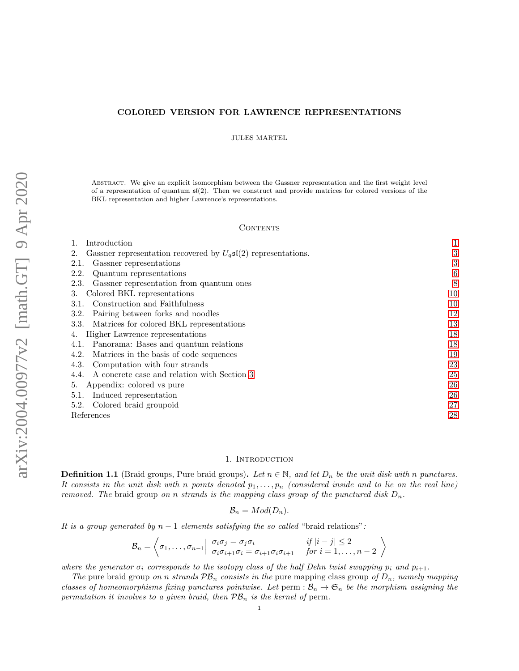## COLORED VERSION FOR LAWRENCE REPRESENTATIONS

JULES MARTEL

Abstract. We give an explicit isomorphism between the Gassner representation and the first weight level of a representation of quantum sl(2). Then we construct and provide matrices for colored versions of the BKL representation and higher Lawrence's representations.

#### **CONTENTS**

| Introduction                                                               |    |
|----------------------------------------------------------------------------|----|
| Gassner representation recovered by $U_q\mathfrak{sl}(2)$ representations. | 3  |
| Gassner representations<br>2.1.                                            | 3  |
| 2.2.<br>Quantum representations                                            | 6  |
| Gassner representation from quantum ones<br>2.3.                           | 8  |
| Colored BKL representations<br>3.                                          | 10 |
| Construction and Faithfulness<br>3.1.                                      | 10 |
| Pairing between forks and noodles<br>3.2.                                  | 12 |
| Matrices for colored BKL representations<br>3.3.                           | 13 |
| Higher Lawrence representations<br>4.                                      | 18 |
| Panorama: Bases and quantum relations<br>4.1.                              | 18 |
| Matrices in the basis of code sequences<br>4.2.                            | 19 |
| Computation with four strands<br>4.3.                                      | 23 |
| A concrete case and relation with Section 3<br>4.4.                        | 25 |
| Appendix: colored vs pure<br>5.                                            | 26 |
| Induced representation<br>5.1.                                             | 26 |
| Colored braid groupoid<br>5.2.                                             | 27 |
| References                                                                 | 28 |

#### 1. INTRODUCTION

<span id="page-0-0"></span>**Definition 1.1** (Braid groups, Pure braid groups). Let  $n \in \mathbb{N}$ , and let  $D_n$  be the unit disk with n punctures. It consists in the unit disk with n points denoted  $p_1, \ldots, p_n$  (considered inside and to lie on the real line) removed. The braid group on n strands is the mapping class group of the punctured disk  $D_n$ .

$$
\mathcal{B}_n = Mod(D_n).
$$

It is a group generated by  $n - 1$  elements satisfying the so called "braid relations":

$$
\mathcal{B}_n = \left\langle \sigma_1, \ldots, \sigma_{n-1} \middle| \begin{array}{c} \sigma_i \sigma_j = \sigma_j \sigma_i & \text{if } |i-j| \leq 2 \\ \sigma_i \sigma_{i+1} \sigma_i = \sigma_{i+1} \sigma_i \sigma_{i+1} & \text{for } i = 1, \ldots, n-2 \end{array} \right\rangle
$$

where the generator  $\sigma_i$  corresponds to the isotopy class of the half Dehn twist swapping  $p_i$  and  $p_{i+1}$ .

The pure braid group on n strands  $\mathcal{PB}_n$  consists in the pure mapping class group of  $D_n$ , namely mapping classes of homeomorphisms fixing punctures pointwise. Let perm :  $\mathcal{B}_n \to \mathfrak{S}_n$  be the morphism assigning the permutation it involves to a given braid, then  $\mathcal{PB}_n$  is the kernel of perm.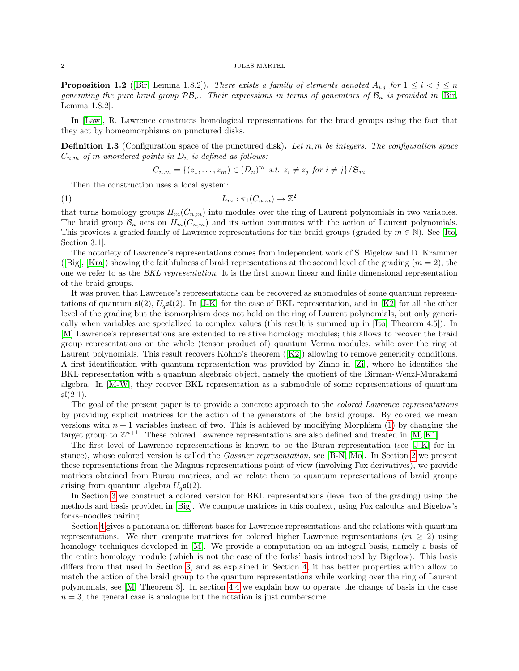**Proposition 1.2** ([\[Bir,](#page-27-1) Lemma 1.8.2]). There exists a family of elements denoted  $A_{i,j}$  for  $1 \leq i < j \leq n$ generating the pure braid group  $\mathcal{PB}_n$ . Their expressions in terms of generators of  $\mathcal{B}_n$  is provided in [\[Bir,](#page-27-1) Lemma 1.8.2].

In [\[Law\]](#page-27-2), R. Lawrence constructs homological representations for the braid groups using the fact that they act by homeomorphisms on punctured disks.

<span id="page-1-1"></span>**Definition 1.3** (Configuration space of the punctured disk). Let  $n, m$  be integers. The configuration space  $C_{n,m}$  of m unordered points in  $D_n$  is defined as follows:

<span id="page-1-0"></span>
$$
C_{n,m} = \{(z_1, \ldots, z_m) \in (D_n)^m \text{ s.t. } z_i \neq z_j \text{ for } i \neq j\}/\mathfrak{S}_m
$$

Then the construction uses a local system:

$$
(1) \t\t\t L_m: \pi_1(C_{n,m}) \to \mathbb{Z}^2
$$

that turns homology groups  $H_m(C_{n,m})$  into modules over the ring of Laurent polynomials in two variables. The braid group  $\mathcal{B}_n$  acts on  $H_m(C_{n,m})$  and its action commutes with the action of Laurent polynomials. This provides a graded family of Lawrence representations for the braid groups (graded by  $m \in \mathbb{N}$ ). See [\[Ito,](#page-27-3) Section 3.1].

The notoriety of Lawrence's representations comes from independent work of S. Bigelow and D. Krammer ([\[Big\]](#page-27-4), [\[Kra\]](#page-27-5)) showing the faithfulness of braid representations at the second level of the grading  $(m = 2)$ , the one we refer to as the BKL representation. It is the first known linear and finite dimensional representation of the braid groups.

It was proved that Lawrence's representations can be recovered as submodules of some quantum representations of quantum  $\mathfrak{sl}(2)$ ,  $U_{q}\mathfrak{sl}(2)$ . In [\[J-K\]](#page-27-6) for the case of BKL representation, and in [\[K2\]](#page-27-7) for all the other level of the grading but the isomorphism does not hold on the ring of Laurent polynomials, but only generically when variables are specialized to complex values (this result is summed up in [\[Ito,](#page-27-3) Theorem 4.5]). In [\[M\]](#page-27-8) Lawrence's representations are extended to relative homology modules; this allows to recover the braid group representations on the whole (tensor product of) quantum Verma modules, while over the ring ot Laurent polynomials. This result recovers Kohno's theorem([\[K2\]](#page-27-7)) allowing to remove genericity conditions. A first identification with quantum representation was provided by Zinno in [\[Zi\]](#page-27-9), where he identifies the BKL representation with a quantum algebraic object, namely the quotient of the Birman-Wenzl-Murakami algebra. In [\[M-W\]](#page-27-10), they recover BKL representation as a submodule of some representations of quantum  $\mathfrak{sl}(2|1)$ .

The goal of the present paper is to provide a concrete approach to the colored Lawrence representations by providing explicit matrices for the action of the generators of the braid groups. By colored we mean versions with  $n + 1$  variables instead of two. This is achieved by modifying Morphism [\(1\)](#page-1-0) by changing the target group to  $\mathbb{Z}^{n+1}$ . These colored Lawrence representations are also defined and treated in [\[M,](#page-27-8) [K1\]](#page-27-11).

The first level of Lawrence representations is known to be the Burau representation (see [\[J-K\]](#page-27-6) for instance), whose colored version is called the Gassner representation, see [\[B-N,](#page-27-12) [Mo\]](#page-27-13). In Section [2](#page-2-0) we present these representations from the Magnus representations point of view (involving Fox derivatives), we provide matrices obtained from Burau matrices, and we relate them to quantum representations of braid groups arising from quantum algebra  $U_q$  $\mathfrak{sl}(2)$ .

In Section [3](#page-9-0) we construct a colored version for BKL representations (level two of the grading) using the methods and basis provided in [\[Big\]](#page-27-4). We compute matrices in this context, using Fox calculus and Bigelow's forks–noodles pairing.

Section [4](#page-17-0) gives a panorama on different bases for Lawrence representations and the relations with quantum representations. We then compute matrices for colored higher Lawrence representations  $(m \geq 2)$  using homology techniques developed in [\[M\]](#page-27-8). We provide a computation on an integral basis, namely a basis of the entire homology module (which is not the case of the forks' basis introduced by Bigelow). This basis differs from that used in Section [3,](#page-9-0) and as explained in Section [4,](#page-17-0) it has better properties which allow to match the action of the braid group to the quantum representations while working over the ring of Laurent polynomials, see [\[M,](#page-27-8) Theorem 3]. In section [4.4](#page-24-0) we explain how to operate the change of basis in the case  $n = 3$ , the general case is analogue but the notation is just cumbersome.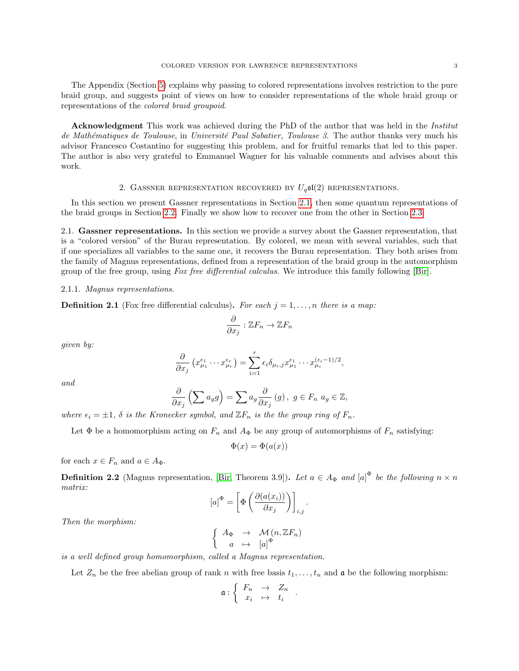The Appendix (Section [5\)](#page-25-0) explains why passing to colored representations involves restriction to the pure braid group, and suggests point of views on how to consider representations of the whole braid group or representations of the colored braid groupoid.

Acknowledgment This work was achieved during the PhD of the author that was held in the *Institut* de Mathématiques de Toulouse, in Université Paul Sabatier, Toulouse 3. The author thanks very much his advisor Francesco Costantino for suggesting this problem, and for fruitful remarks that led to this paper. The author is also very grateful to Emmanuel Wagner for his valuable comments and advises about this work.

## 2. GASSNER REPRESENTATION RECOVERED BY  $U_q$ \$**i**(2) representations.

<span id="page-2-0"></span>In this section we present Gassner representations in Section [2.1,](#page-2-1) then some quantum representations of the braid groups in Section [2.2.](#page-5-0) Finally we show how to recover one from the other in Section [2.3.](#page-7-0)

<span id="page-2-1"></span>2.1. Gassner representations. In this section we provide a survey about the Gassner representation, that is a "colored version" of the Burau representation. By colored, we mean with several variables, such that if one specializes all variables to the same one, it recovers the Burau representation. They both arises from the family of Magnus representations, defined from a representation of the braid group in the automorphism group of the free group, using Fox free differential calculus. We introduce this family following [\[Bir\]](#page-27-1).

#### 2.1.1. Magnus representations.

<span id="page-2-2"></span>**Definition 2.1** (Fox free differential calculus). For each  $j = 1, \ldots, n$  there is a map:

$$
\frac{\partial}{\partial x_j}:\mathbb{Z}F_n\to \mathbb{Z}F_n
$$

given by:

$$
\frac{\partial}{\partial x_j}\left(x_{\mu_1}^{\epsilon_1}\cdots x_{\mu_r}^{\epsilon_r}\right)=\sum_{i=1}^r \epsilon_i \delta_{\mu_i,j} x_{\mu_1}^{\epsilon_1}\cdots x_{\mu_i}^{(\epsilon_i-1)/2},
$$

and

$$
\frac{\partial}{\partial x_j} \left( \sum a_g g \right) = \sum a_g \frac{\partial}{\partial x_j} \left( g \right), \ g \in F_n \ a_g \in \mathbb{Z},
$$

where  $\epsilon_i = \pm 1$ ,  $\delta$  is the Kronecker symbol, and  $\mathbb{Z}F_n$  is the the group ring of  $F_n$ .

Let  $\Phi$  be a homomorphism acting on  $F_n$  and  $A_{\Phi}$  be any group of automorphisms of  $F_n$  satisfying:

$$
\Phi(x) = \Phi(a(x))
$$

for each  $x \in F_n$  and  $a \in A_{\Phi}$ .

**Definition 2.2** (Magnus representation, [\[Bir,](#page-27-1) Theorem 3.9]). Let  $a \in A_{\Phi}$  and  $[a]^{\Phi}$  be the following  $n \times n$ matrix:

$$
\left[a\right]^{\Phi} = \left[\Phi\left(\frac{\partial (a(x_i))}{\partial x_j}\right)\right]_{i,j}.
$$

Then the morphism:

$$
\left\{\begin{array}{rcl}\nA_{\Phi} & \to & \mathcal{M}(n, \mathbb{Z}F_n) \\
a & \mapsto & [a]^{\Phi}\n\end{array}\right.
$$

is a well defined group homomorphism, called a Magnus representation.

Let  $Z_n$  be the free abelian group of rank n with free basis  $t_1, \ldots, t_n$  and  $\mathfrak{a}$  be the following morphism:

$$
\mathfrak{a}: \left\{ \begin{array}{ccc} F_n & \to & Z_n \\ x_i & \mapsto & t_i \end{array} \right.
$$

.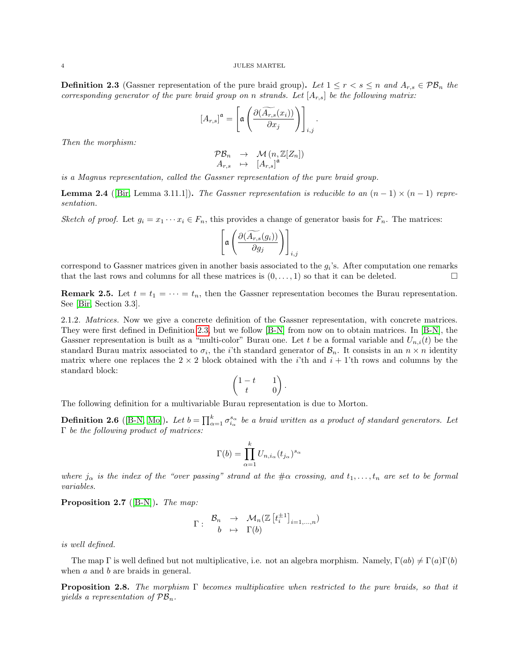<span id="page-3-0"></span>**Definition 2.3** (Gassner representation of the pure braid group). Let  $1 \leq r < s \leq n$  and  $A_{r,s} \in \mathcal{PB}_n$  the corresponding generator of the pure braid group on n strands. Let  $[A_{r,s}]$  be the following matrix:

$$
\left[A_{r,s}\right]^{\mathfrak{a}} = \left[\mathfrak{a}\left(\frac{\partial\widetilde{\left(A_{r,s}(x_i)\right)}}{\partial x_j}\right)\right]_{i,j}
$$

.

Then the morphism:

$$
\begin{array}{rcl}\n\mathcal{PB}_n & \to & \mathcal{M}(n, \mathbb{Z}[Z_n]) \\
A_{r,s} & \mapsto & [A_{r,s}]^{\mathfrak{a}}\n\end{array}
$$

is a Magnus representation, called the Gassner representation of the pure braid group.

**Lemma 2.4** ([\[Bir,](#page-27-1) Lemma 3.11.1]). The Gassner representation is reducible to an  $(n-1) \times (n-1)$  representation.

Sketch of proof. Let  $g_i = x_1 \cdots x_i \in F_n$ , this provides a change of generator basis for  $F_n$ . The matrices:

$$
\left[\mathfrak{a}\left(\frac{\partial(\widetilde{A_{r,s}}(g_i))}{\partial g_j}\right)\right]_{i,j}
$$

correspond to Gassner matrices given in another basis associated to the  $g_i$ 's. After computation one remarks that the last rows and columns for all these matrices is  $(0, \ldots, 1)$  so that it can be deleted.

**Remark 2.5.** Let  $t = t_1 = \cdots = t_n$ , then the Gassner representation becomes the Burau representation. See [\[Bir,](#page-27-1) Section 3.3].

<span id="page-3-1"></span>2.1.2. Matrices. Now we give a concrete definition of the Gassner representation, with concrete matrices. They were first defined in Definition [2.3,](#page-3-0) but we follow [\[B-N\]](#page-27-12) from now on to obtain matrices. In [\[B-N\]](#page-27-12), the Gassner representation is built as a "multi-color" Burau one. Let t be a formal variable and  $U_{n,i}(t)$  be the standard Burau matrix associated to  $\sigma_i$ , the *i*'th standard generator of  $\mathcal{B}_n$ . It consists in an  $n \times n$  identity matrix where one replaces the  $2 \times 2$  block obtained with the *i*'th and  $i + 1$ 'th rows and columns by the standard block:

$$
\begin{pmatrix} 1-t & 1 \ t & 0 \end{pmatrix}
$$

.

The following definition for a multivariable Burau representation is due to Morton.

**Definition 2.6** ([\[B-N,](#page-27-12) [Mo\]](#page-27-13)). Let  $b = \prod_{\alpha=1}^k \sigma_{i_\alpha}^{s_\alpha}$  be a braid written as a product of standard generators. Let Γ be the following product of matrices:

$$
\Gamma(b) = \prod_{\alpha=1}^{k} U_{n,i_{\alpha}}(t_{j_{\alpha}})^{s_{\alpha}}
$$

where  $j_{\alpha}$  is the index of the "over passing" strand at the  $\#\alpha$  crossing, and  $t_1, \ldots, t_n$  are set to be formal variables.

**Proposition 2.7** ([\[B-N\]](#page-27-12)). The map:

$$
\Gamma: \begin{array}{ccc} \mathcal{B}_n & \to & \mathcal{M}_n(\mathbb{Z}\left[t_i^{\pm 1}\right]_{i=1,\ldots,n})\\ b & \mapsto & \Gamma(b) \end{array}
$$

is well defined.

The map Γ is well defined but not multiplicative, i.e. not an algebra morphism. Namely,  $\Gamma(ab) \neq \Gamma(a)\Gamma(b)$ when a and b are braids in general.

**Proposition 2.8.** The morphism  $\Gamma$  becomes multiplicative when restricted to the pure braids, so that it yields a representation of  $\mathcal{PB}_n$ .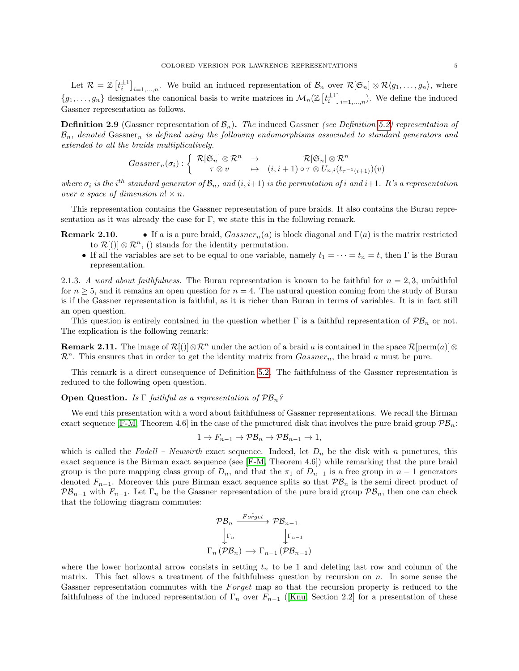Let  $\mathcal{R} = \mathbb{Z}\left[t_i^{\pm 1}\right]_{i=1,\ldots,n}$ . We build an induced representation of  $\mathcal{B}_n$  over  $\mathcal{R}[\mathfrak{S}_n] \otimes \mathcal{R}\langle g_1,\ldots,g_n\rangle$ , where  ${g_1,\ldots,g_n}$  designates the canonical basis to write matrices in  $\mathcal{M}_n(\mathbb{Z}\left[t_i^{\pm 1}\right]_{i=1,\ldots,n})$ . We define the induced Gassner representation as follows.

**Definition 2.9** (Gassner representation of  $\mathcal{B}_n$ ). The induced Gassner (see Definition [5.2\)](#page-25-2) representation of  $\mathcal{B}_n$ , denoted Gassner<sub>n</sub> is defined using the following endomorphisms associated to standard generators and extended to all the braids multiplicatively.

$$
Gassner_n(\sigma_i) : \left\{ \begin{array}{ccc} \mathcal{R}[\mathfrak{S}_n] \otimes \mathcal{R}^n & \to & \mathcal{R}[\mathfrak{S}_n] \otimes \mathcal{R}^n \\ \tau \otimes v & \mapsto & (i, i+1) \circ \tau \otimes U_{n,i}(t_{\tau^{-1}(i+1)})(v) \end{array} \right.
$$

where  $\sigma_i$  is the i<sup>th</sup> standard generator of  $\mathcal{B}_n$ , and  $(i, i+1)$  is the permutation of i and  $i+1$ . It's a representation over a space of dimension  $n! \times n$ .

This representation contains the Gassner representation of pure braids. It also contains the Burau representation as it was already the case for  $\Gamma$ , we state this in the following remark.

- **Remark 2.10.** If a is a pure braid,  $Gassner_n(a)$  is block diagonal and  $\Gamma(a)$  is the matrix restricted to  $\mathcal{R}[(n)] \otimes \mathcal{R}^n$ , () stands for the identity permutation.
	- If all the variables are set to be equal to one variable, namely  $t_1 = \cdots = t_n = t$ , then  $\Gamma$  is the Burau representation.

2.1.3. A word about faithfulness. The Burau representation is known to be faithful for  $n = 2, 3$ , unfaithful for  $n \geq 5$ , and it remains an open question for  $n = 4$ . The natural question coming from the study of Burau is if the Gassner representation is faithful, as it is richer than Burau in terms of variables. It is in fact still an open question.

This question is entirely contained in the question whether  $\Gamma$  is a faithful representation of  $\mathcal{PB}_n$  or not. The explication is the following remark:

**Remark 2.11.** The image of  $\mathcal{R}[(n)] \otimes \mathcal{R}^n$  under the action of a braid a is contained in the space  $\mathcal{R}[\text{perm}(a)] \otimes$  $\mathcal{R}^n$ . This ensures that in order to get the identity matrix from  $Gassner_n$ , the braid a must be pure.

This remark is a direct consequence of Definition [5.2.](#page-25-2) The faithfulness of the Gassner representation is reduced to the following open question.

**Open Question.** Is  $\Gamma$  faithful as a representation of  $\mathcal{PB}_n$ ?

We end this presentation with a word about faithfulness of Gassner representations. We recall the Birman exact sequence [\[F-M,](#page-27-14) Theorem 4.6] in the case of the punctured disk that involves the pure braid group  $\mathcal{PB}_n$ :

$$
1 \to F_{n-1} \to \mathcal{PB}_n \to \mathcal{PB}_{n-1} \to 1,
$$

which is called the Fadell – Neuwirth exact sequence. Indeed, let  $D_n$  be the disk with n punctures, this exact sequence is the Birman exact sequence (see [\[F-M,](#page-27-14) Theorem 4.6]) while remarking that the pure braid group is the pure mapping class group of  $D_n$ , and that the  $\pi_1$  of  $D_{n-1}$  is a free group in  $n-1$  generators denoted  $F_{n-1}$ . Moreover this pure Birman exact sequence splits so that  $\mathcal{PB}_n$  is the semi direct product of  $\mathcal{PB}_{n-1}$  with  $F_{n-1}$ . Let  $\Gamma_n$  be the Gassner representation of the pure braid group  $\mathcal{PB}_n$ , then one can check that the following diagram commutes:

$$
\mathcal{PB}_n \xrightarrow{Forget} \mathcal{PB}_{n-1}
$$

$$
\downarrow_{\Gamma_n} \qquad \qquad \downarrow_{\Gamma_{n-1}}
$$

$$
\Gamma_n(\mathcal{PB}_n) \longrightarrow \Gamma_{n-1}(\mathcal{PB}_{n-1})
$$

where the lower horizontal arrow consists in setting  $t_n$  to be 1 and deleting last row and column of the matrix. This fact allows a treatment of the faithfulness question by recursion on  $n$ . In some sense the Gassner representation commutes with the Forget map so that the recursion property is reduced to the faithfulness of the induced representation of  $\Gamma_n$  over  $F_{n-1}$  ([\[Knu,](#page-27-15) Section 2.2] for a presentation of these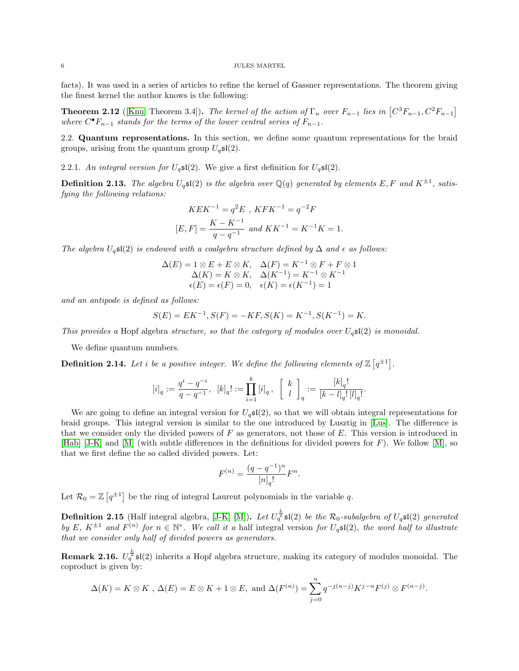facts). It was used in a series of articles to refine the kernel of Gassner representations. The theorem giving the finest kernel the author knows is the following:

**Theorem 2.12** ([\[Knu,](#page-27-15) Theorem 3.4]). The kernel of the action of  $\Gamma_n$  over  $F_{n-1}$  lies in  $[C^3F_{n-1}, C^2F_{n-1}]$ where  $C^{\bullet}F_{n-1}$  stands for the terms of the lower central series of  $F_{n-1}$ .

<span id="page-5-0"></span>2.2. Quantum representations. In this section, we define some quantum representations for the braid groups, arising from the quantum group  $U_q\mathfrak{sl}(2)$ .

2.2.1. An integral version for  $U_q\mathfrak{sl}(2)$ . We give a first definition for  $U_q\mathfrak{sl}(2)$ .

**Definition 2.13.** The algebra  $U_q$ **s** $(2)$  is the algebra over  $\mathbb{Q}(q)$  generated by elements E, F and  $K^{\pm 1}$ , satisfying the following relations:

$$
KEK^{-1} = q^2E, KFK^{-1} = q^{-2}F
$$
  
[E, F] =  $\frac{K - K^{-1}}{q - q^{-1}}$  and  $KK^{-1} = K^{-1}K = 1$ .

The algebra  $U_q$ s $(2)$  is endowed with a coalgebra structure defined by  $\Delta$  and  $\epsilon$  as follows:

$$
\Delta(E) = 1 \otimes E + E \otimes K, \quad \Delta(F) = K^{-1} \otimes F + F \otimes 1
$$
  
 
$$
\Delta(K) = K \otimes K, \quad \Delta(K^{-1}) = K^{-1} \otimes K^{-1}
$$
  
 
$$
\epsilon(E) = \epsilon(F) = 0, \quad \epsilon(K) = \epsilon(K^{-1}) = 1
$$

and an antipode is defined as follows:

$$
S(E) = E K^{-1}, S(F) = -K F, S(K) = K^{-1}, S(K^{-1}) = K.
$$

This provides a Hopf algebra structure, so that the category of modules over  $U_q$ **s** $(2)$  is monoidal.

We define quantum numbers.

**Definition 2.14.** Let i be a positive integer. We define the following elements of  $\mathbb{Z}\left[q^{\pm 1}\right]$ .

$$
[i]_q:=\frac{q^i-q^{-i}}{q-q^{-1}},\ \ [k]_q!:=\prod_{i=1}^k\, [i]_q\,,\ \ \left[\begin{array}{c}k\\l\end{array}\right]_q:=\frac{[k]_q!}{[k-l]_q!\, [l]_q!}.
$$

We are going to define an integral version for  $U_q$ **s** $(2)$ , so that we will obtain integral representations for braid groups. This integral version is similar to the one introduced by Lusztig in [\[Lus\]](#page-27-16). The difference is that we consider only the divided powers of  $F$  as generators, not those of  $E$ . This version is introduced in [\[Hab\]](#page-27-17) [\[J-K\]](#page-27-6) and [\[M\]](#page-27-8) (with subtle differences in the definitions for divided powers for F). We follow [\[M\]](#page-27-8), so that we first define the so called divided powers. Let:

$$
F^{(n)} = \frac{(q - q^{-1})^n}{[n]_q!} F^n.
$$

Let  $\mathcal{R}_0 = \mathbb{Z} \left[ q^{\pm 1} \right]$  be the ring of integral Laurent polynomials in the variable q.

**Definition 2.15** (Half integral algebra, [\[J-K\]](#page-27-6) [\[M\]](#page-27-8)). Let  $U_q^{\frac{L}{2}}$ **s** (2) be the  $\mathcal{R}_0$ -subalgebra of  $U_q$ **s** (2) generated by E,  $K^{\pm 1}$  and  $F^{(n)}$  for  $n \in \mathbb{N}^*$ . We call it a half integral version for  $U_q\mathfrak{sl}(2)$ , the word half to illustrate that we consider only half of divided powers as generators.

**Remark 2.16.**  $U_q^{\frac{L}{2}}$ **s** $(2)$  inherits a Hopf algebra structure, making its category of modules monoidal. The coproduct is given by:

$$
\Delta(K) = K \otimes K , \Delta(E) = E \otimes K + 1 \otimes E, \text{ and } \Delta(F^{(n)}) = \sum_{j=0}^{n} q^{-j(n-j)} K^{j-n} F^{(j)} \otimes F^{(n-j)}.
$$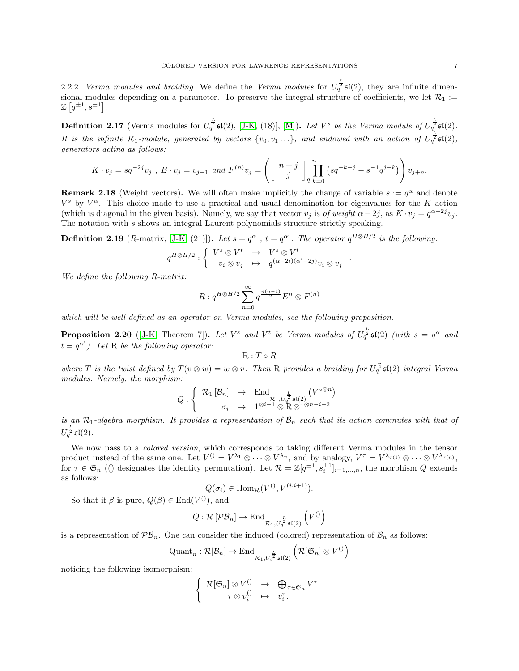<span id="page-6-1"></span>2.2.2. Verma modules and braiding. We define the Verma modules for  $U_q^{\frac{L}{2}}$   $\mathfrak{sl}(2)$ , they are infinite dimensional modules depending on a parameter. To preserve the integral structure of coefficients, we let  $\mathcal{R}_1$  :=  $\mathbb{Z}\left[q^{\pm 1},s^{\pm 1}\right]$ .

**Definition 2.17** (Verma modules for  $U_q^{\frac{L}{2}}$ **s**((2), [\[J-K,](#page-27-6) (18)], [\[M\]](#page-27-8)). Let  $V^s$  be the Verma module of  $U_q^{\frac{L}{2}}$ **s**((2). It is the infinite  $\mathcal{R}_1$ -module, generated by vectors  $\{v_0, v_1 \ldots \}$ , and endowed with an action of  $U_q^{\frac{L}{2}}$ **s** $\mathfrak{sl}(2)$ , generators acting as follows:

$$
K \cdot v_j = sq^{-2j}v_j \ , \ E \cdot v_j = v_{j-1} \ and \ F^{(n)}v_j = \left( \left[ \begin{array}{c} n+j \\ j \end{array} \right]_q \prod_{k=0}^{n-1} \left( sq^{-k-j} - s^{-1}q^{j+k} \right) \right) v_{j+n}.
$$

**Remark 2.18** (Weight vectors). We will often make implicitly the change of variable  $s := q^{\alpha}$  and denote  $V^s$  by  $V^{\alpha}$ . This choice made to use a practical and usual denomination for eigenvalues for the K action (which is diagonal in the given basis). Namely, we say that vector  $v_j$  is of weight  $\alpha - 2j$ , as  $K \cdot v_j = q^{\alpha - 2j}v_j$ . The notation with s shows an integral Laurent polynomials structure strictly speaking.

<span id="page-6-0"></span>**Definition 2.19** (*R*-matrix, [\[J-K,](#page-27-6) (21)]). Let  $s = q^{\alpha}$ ,  $t = q^{\alpha'}$ . The operator  $q^{H \otimes H/2}$  is the following:

$$
q^{H\otimes H/2}: \left\{ \begin{array}{ccc} V^s\otimes V^t & \to & V^s\otimes V^t \\ v_i\otimes v_j & \mapsto & q^{(\alpha-2i)(\alpha'-2j)}v_i\otimes v_j \end{array} \right.
$$

.

We define the following R-matrix:

$$
R: q^{H\otimes H/2}\sum_{n=0}^{\infty}q^{\frac{n(n-1)}{2}}E^n\otimes F^{(n)}
$$

which will be well defined as an operator on Verma modules, see the following proposition.

**Proposition 2.20** ([\[J-K,](#page-27-6) Theorem 7]). Let  $V^s$  and  $V^t$  be Verma modules of  $U_q^{\frac{L}{2}}$   $\mathfrak{sl}(2)$  (with  $s = q^{\alpha}$  and  $t = q^{\alpha'}$ ). Let R be the following operator:

$$
\mathcal{R}:T\circ R
$$

where T is the twist defined by  $T(v \otimes w) = w \otimes v$ . Then R provides a braiding for  $U_q^{\frac{L}{2}}$ **s**((2) integral Verma modules. Namely, the morphism:

$$
Q:\left\{\begin{array}{ccc}\mathcal{R}_1\left[\mathcal{B}_n\right] & \to & \operatorname{End}_{\mathcal{R}_1,U_q^{\frac{L}{2}}\mathfrak{sl}(2)}\left(V^{s\otimes n}\right) \\ \sigma_i & \mapsto & 1^{\otimes i-1}\otimes \operatorname{R}\otimes 1^{\otimes n-i-2}\end{array}\right.
$$

is an  $\mathcal{R}_1$ -algebra morphism. It provides a representation of  $\mathcal{B}_n$  such that its action commutes with that of  $U_q^{\frac{L}{2}}$ sl $(2)$ .

We now pass to a colored version, which corresponds to taking different Verma modules in the tensor product instead of the same one. Let  $V^{()}=V^{\lambda_1}\otimes\cdots\otimes V^{\lambda_n}$ , and by analogy,  $V^{\tau}=V^{\lambda_{\tau(1)}}\otimes\cdots\otimes V^{\lambda_{\tau(n)}}$ , for  $\tau \in \mathfrak{S}_n$  (() designates the identity permutation). Let  $\mathcal{R} = \mathbb{Z}[q^{\pm 1}, s_i^{\pm 1}]_{i=1,\dots,n}$ , the morphism Q extends as follows:

$$
Q(\sigma_i) \in \text{Hom}_{\mathcal{R}}(V^{(i)}, V^{(i,i+1)}).
$$

So that if  $\beta$  is pure,  $Q(\beta) \in \text{End}(V^{\{1\}})$ , and:

$$
Q: \mathcal{R}\left[\mathcal{PB}_n\right] \to \text{End}_{\mathcal{R}_1,U_q^{\frac{L}{2}}\mathfrak{sl}(2)}\left(V^{(\mathfrak{f})}\right)
$$

is a representation of  $\mathcal{PB}_n$ . One can consider the induced (colored) representation of  $\mathcal{B}_n$  as follows:

$$
\mathrm{Quant}_n: \mathcal{R}[\mathcal{B}_n] \to \mathrm{End}_{\mathcal{R}_1, U_q^{\frac{L}{2}} \mathfrak{sl}(2)} \left( \mathcal{R}[\mathfrak{S}_n] \otimes V^{(1)} \right)
$$

noticing the following isomorphism:

$$
\left\{\n\begin{array}{ccc}\n\mathcal{R}[\mathfrak{S}_n]\otimes V^() & \to & \bigoplus_{\tau \in \mathfrak{S}_n} V^{\tau} \\
\tau \otimes v_i^() & \mapsto & v_i^{\tau}.\n\end{array}\n\right.
$$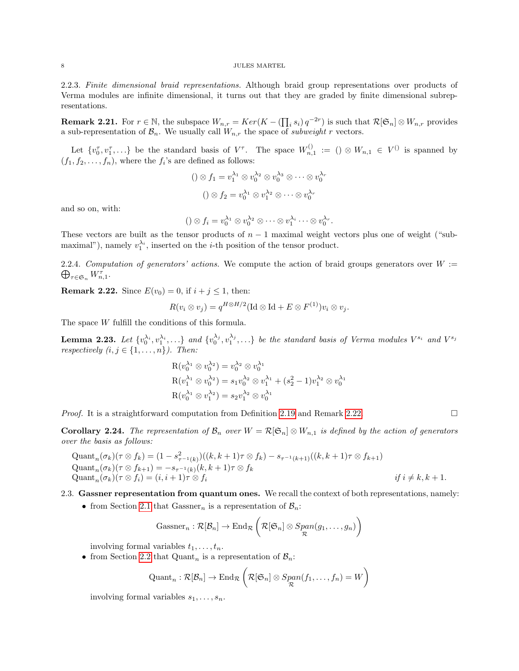2.2.3. Finite dimensional braid representations. Although braid group representations over products of Verma modules are infinite dimensional, it turns out that they are graded by finite dimensional subrepresentations.

<span id="page-7-2"></span>**Remark 2.21.** For  $r \in \mathbb{N}$ , the subspace  $W_{n,r} = Ker(K - (\prod_i s_i) q^{-2r})$  is such that  $\mathcal{R}[\mathfrak{S}_n] \otimes W_{n,r}$  provides a sub-representation of  $\mathcal{B}_n$ . We usually call  $W_{n,r}$  the space of *subweight* r vectors.

Let  $\{v_0^{\tau}, v_1^{\tau},...\}$  be the standard basis of  $V^{\tau}$ . The space  $W_{n,1}^{(i)} := (0, \otimes W_{n,1} \in V^{(i)}$  is spanned by  $(f_1, f_2, \ldots, f_n)$ , where the  $f_i$ 's are defined as follows:

$$
() \otimes f_1 = v_1^{\lambda_1} \otimes v_0^{\lambda_2} \otimes v_0^{\lambda_3} \otimes \cdots \otimes v_0^{\lambda_r}
$$

$$
() \otimes f_2 = v_0^{\lambda_1} \otimes v_1^{\lambda_2} \otimes \cdots \otimes v_0^{\lambda_r}
$$

and so on, with:

$$
() \otimes f_i = v_0^{\lambda_1} \otimes v_0^{\lambda_2} \otimes \cdots \otimes v_1^{\lambda_i} \cdots \otimes v_0^{\lambda_r}.
$$

These vectors are built as the tensor products of  $n-1$  maximal weight vectors plus one of weight ("submaximal"), namely  $v_1^{\lambda_i}$ , inserted on the *i*-th position of the tensor product.

2.2.4. Computation of generators' actions. We compute the action of braid groups generators over  $W :=$  $\bigoplus_{\tau \in \mathfrak{S}_n} W_{n,1}^{\tau}$ .

<span id="page-7-1"></span>**Remark 2.22.** Since  $E(v_0) = 0$ , if  $i + j \leq 1$ , then:

$$
R(v_i \otimes v_j) = q^{H \otimes H/2} (\text{Id} \otimes \text{Id} + E \otimes F^{(1)}) v_i \otimes v_j.
$$

The space W fulfill the conditions of this formula.

**Lemma 2.23.** Let  $\{v_0^{\lambda_i}, v_1^{\lambda_i}, ...\}$  and  $\{v_0^{\lambda_j}, v_1^{\lambda_j}, ...\}$  be the standard basis of Verma modules  $V^{s_i}$  and  $V^{s_j}$ respectively  $(i, j \in \{1, \ldots, n\})$ . Then:

$$
R(v_0^{\lambda_1} \otimes v_0^{\lambda_2}) = v_0^{\lambda_2} \otimes v_0^{\lambda_1}
$$
  
\n
$$
R(v_1^{\lambda_1} \otimes v_0^{\lambda_2}) = s_1 v_0^{\lambda_2} \otimes v_1^{\lambda_1} + (s_2^2 - 1)v_1^{\lambda_2} \otimes v_0^{\lambda_1}
$$
  
\n
$$
R(v_0^{\lambda_1} \otimes v_1^{\lambda_2}) = s_2 v_1^{\lambda_2} \otimes v_0^{\lambda_1}
$$

*Proof.* It is a straightforward computation from Definition [2.19](#page-6-0) and Remark [2.22.](#page-7-1)

**Corollary 2.24.** The representation of  $\mathcal{B}_n$  over  $W = \mathcal{R}[\mathfrak{S}_n] \otimes W_{n,1}$  is defined by the action of generators over the basis as follows:

$$
\begin{aligned}\n\text{Quant}_{n}(\sigma_{k})(\tau \otimes f_{k}) &= (1 - s_{\tau^{-1}(k)}^{2})(\left(k, k+1\right)\tau \otimes f_{k}\right) - s_{\tau^{-1}(k+1)}(\left(k, k+1\right)\tau \otimes f_{k+1}) \\
\text{Quant}_{n}(\sigma_{k})(\tau \otimes f_{k+1}) &= -s_{\tau^{-1}(k)}(k, k+1)\tau \otimes f_{k} \\
\text{Quant}_{n}(\sigma_{k})(\tau \otimes f_{i}) &= (i, i+1)\tau \otimes f_{i} \\
\text{if } i \neq k, k+1.\n\end{aligned}
$$

<span id="page-7-0"></span>2.3. Gassner representation from quantum ones. We recall the context of both representations, namely:

• from Section [2.1](#page-2-1) that Gassner<sub>n</sub> is a representation of  $B_n$ :

Gassner<sub>n</sub> : 
$$
\mathcal{R}[\mathcal{B}_n] \to \text{End}_{\mathcal{R}}\left(\mathcal{R}[\mathfrak{S}_n] \otimes \text{Span}(g_1,\ldots,g_n)\right)
$$

involving formal variables  $t_1, \ldots, t_n$ .

• from Section [2.2](#page-5-0) that  $\mathrm{Quant}_n$  is a representation of  $\mathcal{B}_n$ :

$$
\mathrm{Quant}_n: \mathcal{R}[\mathcal{B}_n] \to \mathrm{End}_{\mathcal{R}}\left(\mathcal{R}[\mathfrak{S}_n]\otimes Span(f_1,\ldots,f_n)=W\right)
$$

involving formal variables  $s_1, \ldots, s_n$ .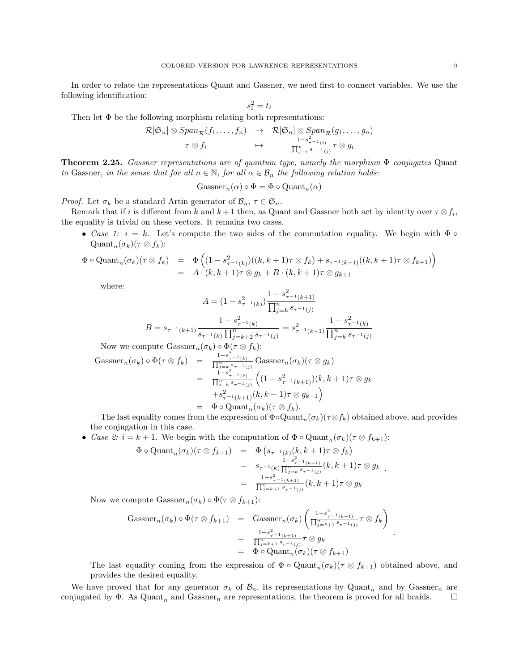In order to relate the representations Quant and Gassner, we need first to connect variables. We use the following identification:

$$
s_i^2 = t_i
$$

Then let  $\Phi$  be the following morphism relating both representations:

$$
\mathcal{R}[\mathfrak{S}_n] \otimes Span_{\mathcal{R}}(f_1, \ldots, f_n) \rightarrow \mathcal{R}[\mathfrak{S}_n] \otimes Span_{\mathcal{R}}(g_1, \ldots, g_n)
$$
  

$$
\tau \otimes f_i \longrightarrow \frac{1 - s_{\tau^{-1}(i)}^2}{\prod_{j=i}^n s_{\tau^{-1}(j)}} \tau \otimes g_i
$$

<span id="page-8-0"></span>**Theorem 2.25.** Gassner representations are of quantum type, namely the morphism  $\Phi$  conjugates Quant to Gassner, in the sense that for all  $n \in \mathbb{N}$ , for all  $\alpha \in \mathcal{B}_n$  the following relation holds:

$$
Gassner_n(\alpha) \circ \Phi = \Phi \circ \text{Quant}_n(\alpha)
$$

*Proof.* Let  $\sigma_k$  be a standard Artin generator of  $\mathcal{B}_n$ ,  $\tau \in \mathfrak{S}_n$ .

- Remark that if i is different from k and  $k+1$  then, as Quant and Gassner both act by identity over  $\tau \otimes f_i$ , the equality is trivial on these vectors. It remains two cases.
	- Case 1:  $i = k$ . Let's compute the two sides of the commutation equality. We begin with  $\Phi \circ$ Quant<sub>n</sub> $(\sigma_k)(\tau \otimes f_k)$ :

$$
\Phi \circ \text{Quant}_{n}(\sigma_{k})(\tau \otimes f_{k}) = \Phi \left( (1 - s_{\tau^{-1}(k)}^{2})(\left(k, k+1\right)\tau \otimes f_{k}\right) + s_{\tau^{-1}(k+1)}((k, k+1)\tau \otimes f_{k+1}) \right) \n= A \cdot (k, k+1)\tau \otimes g_{k} + B \cdot (k, k+1)\tau \otimes g_{k+1}
$$

where:

$$
A = (1 - s_{\tau^{-1}(k)}^2) \frac{1 - s_{\tau^{-1}(k+1)}^2}{\prod_{j=k}^n s_{\tau^{-1}(j)}}
$$

$$
B = s_{\tau^{-1}(k+1)} \frac{1 - s_{\tau^{-1}(k)}^2}{s_{\tau^{-1}(k)} \prod_{j=k+2}^n s_{\tau^{-1}(j)}} = s_{\tau^{-1}(k+1)}^2 \frac{1 - s_{\tau^{-1}(k)}^2}{\prod_{j=k}^n s_{\tau^{-1}(j)}}
$$

Now we compute  $\text{Gassner}_n(\sigma_k) \circ \Phi(\tau \otimes f_k)$ :

$$
\begin{array}{rcl}\n\text{Gassner}_n(\sigma_k) \circ \Phi(\tau \otimes f_k) & = & \frac{1 - s_{\tau^{-1}(k)}^2}{\prod_{j=k}^n s_{\tau^{-1}(j)}} \text{Gassner}_n(\sigma_k) (\tau \otimes g_k) \\
& = & \frac{1 - s_{\tau^{-1}(k)}^2}{\prod_{j=k}^n s_{\tau^{-1}(j)}} \left( (1 - s_{\tau^{-1}(k+1)}^2)(k, k+1) \tau \otimes g_k \right. \\
& & \left. + s_{\tau^{-1}(k+1)}^2(k, k+1) \tau \otimes g_{k+1} \right) \\
& = & \Phi \circ \text{Quant}_n(\sigma_k) (\tau \otimes f_k).\n\end{array}
$$

The last equality comes from the expression of  $\Phi \circ \text{Quant}_n(\sigma_k)(\tau \otimes f_k)$  obtained above, and provides the conjugation in this case.

• Case 2:  $i = k + 1$ . We begin with the computation of  $\Phi \circ \text{Quant}_{n}(\sigma_{k})(\tau \otimes f_{k+1})$ :

$$
\Phi \circ \text{Quant}_{n}(\sigma_{k})(\tau \otimes f_{k+1}) = \Phi \left(s_{\tau^{-1}(k)}(k, k+1)\tau \otimes f_{k}\right)
$$
  
\n
$$
= s_{\tau^{-1}(k)} \frac{1 - s_{\tau^{-1}(k+1)}}{\prod_{j=k}^{n} s_{\tau^{-1}(j)}} (k, k+1)\tau \otimes g_{k}
$$
  
\n
$$
= \frac{1 - s_{\tau^{-1}(k+1)}}{\prod_{j=k+1}^{n} s_{\tau^{-1}(j)}} (k, k+1)\tau \otimes g_{k}
$$

Now we compute  $\text{Gassner}_n(\sigma_k) \circ \Phi(\tau \otimes f_{k+1})$ :

Gassner<sub>n</sub>(
$$
\sigma_k
$$
)  $\circ \Phi(\tau \otimes f_{k+1})$  = Gassner<sub>n</sub>( $\sigma_k$ )  $\left( \frac{1 - s_{\tau-1(k+1)}}{\prod_{j=k+1}^n s_{\tau-1(j)}} \tau \otimes f_k \right)$   
 =  $\frac{1 - s_{\tau-1(k+1)}}{\prod_{j=k+1}^n s_{\tau-1(j)}} \tau \otimes g_k$   
 =  $\Phi \circ \text{Quant}_n(\sigma_k)(\tau \otimes f_{k+1})$ 

The last equality coming from the expression of  $\Phi \circ \text{Quant}_n(\sigma_k)(\tau \otimes f_{k+1})$  obtained above, and provides the desired equality.

.

We have proved that for any generator  $\sigma_k$  of  $\mathcal{B}_n$ , its representations by Quant<sub>n</sub> and by Gassner<sub>n</sub> are conjugated by  $\Phi$ . As Quant<sub>n</sub> and Gassner<sub>n</sub> are representations, the theorem is proved for all braids.  $\square$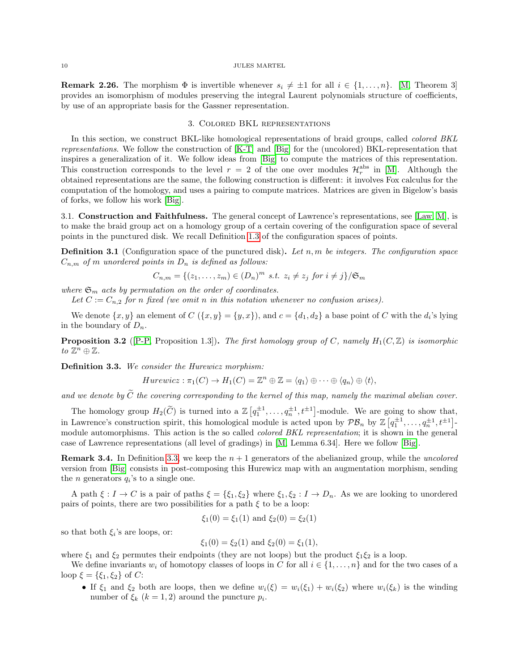**Remark 2.26.** The morphism  $\Phi$  is invertible whenever  $s_i \neq \pm 1$  for all  $i \in \{1, \ldots, n\}$ . [\[M,](#page-27-8) Theorem 3] provides an isomorphism of modules preserving the integral Laurent polynomials structure of coefficients, by use of an appropriate basis for the Gassner representation.

#### 3. Colored BKL representations

<span id="page-9-0"></span>In this section, we construct BKL-like homological representations of braid groups, called *colored BKL* representations. We follow the construction of [\[K-T\]](#page-27-18) and [\[Big\]](#page-27-4) for the (uncolored) BKL-representation that inspires a generalization of it. We follow ideas from [\[Big\]](#page-27-4) to compute the matrices of this representation. This construction corresponds to the level  $r = 2$  of the one over modules  $\mathcal{H}_r^{\text{abs}}$  in [\[M\]](#page-27-8). Although the obtained representations are the same, the following construction is different: it involves Fox calculus for the computation of the homology, and uses a pairing to compute matrices. Matrices are given in Bigelow's basis of forks, we follow his work [\[Big\]](#page-27-4).

<span id="page-9-1"></span>3.1. Construction and Faithfulness. The general concept of Lawrence's representations, see [\[Law,](#page-27-2) [M\]](#page-27-8), is to make the braid group act on a homology group of a certain covering of the configuration space of several points in the punctured disk. We recall Definition [1.3](#page-1-1) of the configuration spaces of points.

**Definition 3.1** (Configuration space of the punctured disk). Let  $n, m$  be integers. The configuration space  $C_{n,m}$  of m unordered points in  $D_n$  is defined as follows:

$$
C_{n,m} = \{(z_1, \ldots, z_m) \in (D_n)^m \text{ s.t. } z_i \neq z_j \text{ for } i \neq j\}/\mathfrak{S}_m
$$

where  $\mathfrak{S}_m$  acts by permutation on the order of coordinates.

Let  $C := C_{n,2}$  for n fixed (we omit n in this notation whenever no confusion arises).

We denote  $\{x, y\}$  an element of  $C(\{x, y\} = \{y, x\})$ , and  $c = \{d_1, d_2\}$  a base point of C with the  $d_i$ 's lying in the boundary of  $D_n$ .

**Proposition 3.2** ([\[P-P,](#page-27-19) Proposition 1.3]). The first homology group of C, namely  $H_1(C,\mathbb{Z})$  is isomorphic to  $\mathbb{Z}^n \oplus \mathbb{Z}$ .

<span id="page-9-2"></span>Definition 3.3. We consider the Hurewicz morphism:

$$
Hurewicz : \pi_1(C) \to H_1(C) = \mathbb{Z}^n \oplus \mathbb{Z} = \langle q_1 \rangle \oplus \cdots \oplus \langle q_n \rangle \oplus \langle t \rangle,
$$

and we denote by  $\tilde{C}$  the covering corresponding to the kernel of this map, namely the maximal abelian cover.

The homology group  $H_2(\widetilde{C})$  is turned into a  $\mathbb{Z}\left[q_1^{\pm 1},\ldots,q_n^{\pm 1},t^{\pm 1}\right]$ -module. We are going to show that, in Lawrence's construction spirit, this homological module is acted upon by  $\mathcal{PB}_n$  by  $\mathbb{Z}\left[q_1^{\pm 1},\ldots,q_n^{\pm 1},t^{\pm 1}\right]$ module automorphisms. This action is the so called *colored BKL representation*; it is shown in the general case of Lawrence representations (all level of gradings) in [\[M,](#page-27-8) Lemma 6.34]. Here we follow [\[Big\]](#page-27-4).

**Remark 3.4.** In Definition [3.3,](#page-9-2) we keep the  $n + 1$  generators of the abelianized group, while the *uncolored* version from [\[Big\]](#page-27-4) consists in post-composing this Hurewicz map with an augmentation morphism, sending the *n* generators  $q_i$ 's to a single one.

A path  $\xi : I \to C$  is a pair of paths  $\xi = \{\xi_1, \xi_2\}$  where  $\xi_1, \xi_2 : I \to D_n$ . As we are looking to unordered pairs of points, there are two possibilities for a path  $\xi$  to be a loop:

$$
\xi_1(0) = \xi_1(1)
$$
 and  $\xi_2(0) = \xi_2(1)$ 

so that both  $\xi_i$ 's are loops, or:

$$
\xi_1(0) = \xi_2(1)
$$
 and  $\xi_2(0) = \xi_1(1)$ ,

where  $\xi_1$  and  $\xi_2$  permutes their endpoints (they are not loops) but the product  $\xi_1 \xi_2$  is a loop.

We define invariants  $w_i$  of homotopy classes of loops in C for all  $i \in \{1, \ldots, n\}$  and for the two cases of a loop  $\xi = {\xi_1, \xi_2}$  of C:

• If  $\xi_1$  and  $\xi_2$  both are loops, then we define  $w_i(\xi) = w_i(\xi_1) + w_i(\xi_2)$  where  $w_i(\xi_k)$  is the winding number of  $\xi_k$   $(k = 1, 2)$  around the puncture  $p_i$ .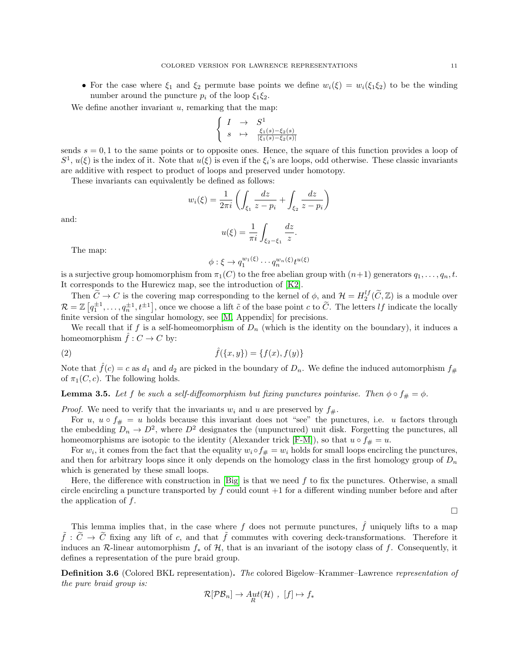• For the case where  $\xi_1$  and  $\xi_2$  permute base points we define  $w_i(\xi) = w_i(\xi_1\xi_2)$  to be the winding number around the puncture  $p_i$  of the loop  $\xi_1 \xi_2$ .

We define another invariant  $u$ , remarking that the map:

$$
\begin{cases}\nI & \to & S^1 \\
s & \mapsto & \frac{\xi_1(s) - \xi_2(s)}{|\xi_1(s) - \xi_2(s)|}\n\end{cases}
$$

sends  $s = 0, 1$  to the same points or to opposite ones. Hence, the square of this function provides a loop of  $S^1, u(\xi)$  is the index of it. Note that  $u(\xi)$  is even if the  $\xi_i$ 's are loops, odd otherwise. These classic invariants are additive with respect to product of loops and preserved under homotopy.

These invariants can equivalently be defined as follows:

$$
w_i(\xi) = \frac{1}{2\pi i} \left( \int_{\xi_1} \frac{dz}{z - p_i} + \int_{\xi_2} \frac{dz}{z - p_i} \right)
$$

and:

$$
u(\xi) = \frac{1}{\pi i} \int_{\xi_2 - \xi_1} \frac{dz}{z}.
$$

The map:

$$
\phi: \xi \to q_1^{w_1(\xi)} \cdots q_n^{w_n(\xi)} t^{u(\xi)}
$$

is a surjective group homomorphism from  $\pi_1(C)$  to the free abelian group with  $(n+1)$  generators  $q_1, \ldots, q_n, t$ . It corresponds to the Hurewicz map, see the introduction of [\[K2\]](#page-27-7).

Then  $\widetilde{C} \to C$  is the covering map corresponding to the kernel of  $\phi$ , and  $\mathcal{H} = H_2^{lf}(\widetilde{C}, \mathbb{Z})$  is a module over  $\mathcal{R} = \mathbb{Z} \left[ q_1^{\pm 1}, \ldots, q_n^{\pm 1}, t^{\pm 1} \right]$ , once we choose a lift  $\tilde{c}$  of the base point c to  $\tilde{C}$ . The letters lf indicate the locally finite version of the singular homology, see [\[M,](#page-27-8) Appendix] for precisions.

We recall that if f is a self-homeomorphism of  $D_n$  (which is the identity on the boundary), it induces a homeomorphism  $\hat{f}: C \to C$  by:

(2) 
$$
\hat{f}(\{x,y\}) = \{f(x), f(y)\}
$$

Note that  $f(c) = c$  as  $d_1$  and  $d_2$  are picked in the boundary of  $D_n$ . We define the induced automorphism  $f_{\#}$ of  $\pi_1(C, c)$ . The following holds.

**Lemma 3.5.** Let f be such a self-diffeomorphism but fixing punctures pointwise. Then  $\phi \circ f_{\#} = \phi$ .

*Proof.* We need to verify that the invariants  $w_i$  and u are preserved by  $f_{\#}$ .

For u,  $u \circ f_{\#} = u$  holds because this invariant does not "see" the punctures, i.e. u factors through the embedding  $D_n \to D^2$ , where  $D^2$  designates the (unpunctured) unit disk. Forgetting the punctures, all homeomorphisms are isotopic to the identity (Alexander trick [\[F-M\]](#page-27-14)), so that  $u \circ f_{\#} = u$ .

For  $w_i$ , it comes from the fact that the equality  $w_i \circ f_{\#} = w_i$  holds for small loops encircling the punctures, and then for arbitrary loops since it only depends on the homology class in the first homology group of  $D_n$ which is generated by these small loops.

Here, the difference with construction in [\[Big\]](#page-27-4) is that we need  $f$  to fix the punctures. Otherwise, a small circle encircling a puncture transported by  $f$  could count  $+1$  for a different winding number before and after the application of  $f$ .

 $\Box$ 

This lemma implies that, in the case where f does not permute punctures,  $\hat{f}$  uniquely lifts to a map  $\tilde{f}: \tilde{C} \to \tilde{C}$  fixing any lift of c, and that  $\tilde{f}$  commutes with covering deck-transformations. Therefore it induces an R-linear automorphism  $f_*$  of  $H$ , that is an invariant of the isotopy class of f. Consequently, it defines a representation of the pure braid group.

<span id="page-10-0"></span>Definition 3.6 (Colored BKL representation). The colored Bigelow–Krammer–Lawrence representation of the pure braid group is:

$$
\mathcal{R}[\mathcal{PB}_n] \to \mathop{Aut}_R(\mathcal{H}) \ , \ [f] \mapsto f_*
$$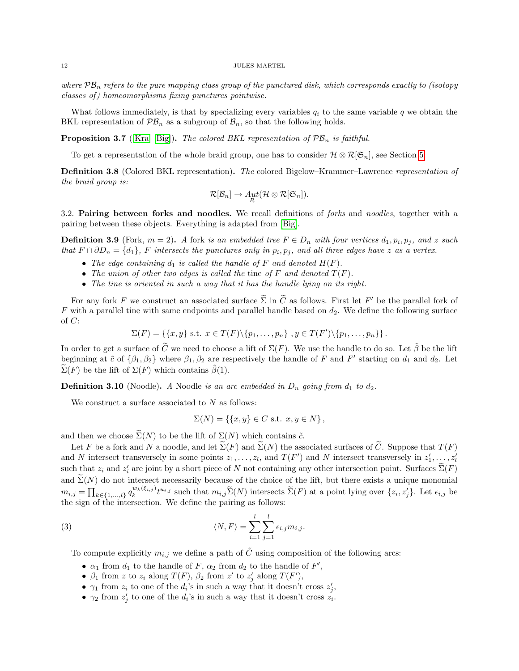where  $\mathcal{PB}_n$  refers to the pure mapping class group of the punctured disk, which corresponds exactly to (isotopy classes of ) homeomorphisms fixing punctures pointwise.

What follows immediately, is that by specializing every variables  $q_i$  to the same variable q we obtain the BKL representation of  $\mathcal{PB}_n$  as a subgroup of  $\mathcal{B}_n$ , so that the following holds.

**Proposition 3.7** ([\[Kra\]](#page-27-5) [\[Big\]](#page-27-4)). The colored BKL representation of  $\mathcal{PB}_n$  is faithful.

To get a representation of the whole braid group, one has to consider  $\mathcal{H} \otimes \mathcal{R}[\mathfrak{S}_n]$ , see Section [5.](#page-25-0)

<span id="page-11-2"></span>Definition 3.8 (Colored BKL representation). The colored Bigelow–Krammer–Lawrence representation of the braid group is:

$$
\mathcal{R}[\mathcal{B}_n] \to \mathop{Aut}_R(\mathcal{H} \otimes \mathcal{R}[\mathfrak{S}_n]).
$$

<span id="page-11-0"></span>3.2. Pairing between forks and noodles. We recall definitions of forks and noodles, together with a pairing between these objects. Everything is adapted from [\[Big\]](#page-27-4).

**Definition 3.9** (Fork,  $m = 2$ ). A fork is an embedded tree  $F \in D_n$  with four vertices  $d_1, p_i, p_j$ , and z such that  $F \cap \partial D_n = \{d_1\}$ , F intersects the punctures only in  $p_i, p_j$ , and all three edges have z as a vertex.

- The edge containing  $d_1$  is called the handle of F and denoted  $H(F)$ .
- The union of other two edges is called the tine of  $F$  and denoted  $T(F)$ .
- The tine is oriented in such a way that it has the handle lying on its right.

For any fork F we construct an associated surface  $\tilde{\Sigma}$  in  $\tilde{C}$  as follows. First let F' be the parallel fork of  $F$  with a parallel tine with same endpoints and parallel handle based on  $d_2$ . We define the following surface of C:

$$
\Sigma(F) = \left\{ \{x, y\} \text{ s.t. } x \in T(F) \setminus \{p_1, \ldots, p_n\} \right\}, y \in T(F') \setminus \{p_1, \ldots, p_n\} \}.
$$

In order to get a surface of  $\widetilde{C}$  we need to choose a lift of  $\Sigma(F)$ . We use the handle to do so. Let  $\widetilde{\beta}$  be the lift beginning at  $\tilde{c}$  of  $\{\beta_1,\beta_2\}$  where  $\beta_1,\beta_2$  are respectively the handle of F and F' starting on  $d_1$  and  $d_2$ . Let  $\widetilde{\Sigma}(F)$  be the lift of  $\Sigma(F)$  which contains  $\widetilde{\beta}(1)$ .

**Definition 3.10** (Noodle). A Noodle is an arc embedded in  $D_n$  going from  $d_1$  to  $d_2$ .

We construct a surface associated to  $N$  as follows:

<span id="page-11-1"></span>
$$
\Sigma(N) = \left\{ \{x, y\} \in C \text{ s.t. } x, y \in N \right\},\
$$

and then we choose  $\tilde{\Sigma}(N)$  to be the lift of  $\Sigma(N)$  which contains  $\tilde{c}$ .

Let F be a fork and N a noodle, and let  $\widetilde{\Sigma}(F)$  and  $\widetilde{\Sigma}(N)$  the associated surfaces of  $\widetilde{C}$ . Suppose that  $T(F)$ and N intersect transversely in some points  $z_1, \ldots, z_l$ , and  $T(F')$  and N intersect transversely in  $z'_1, \ldots, z'_l$ such that  $z_i$  and  $z'_i$  are joint by a short piece of N not containing any other intersection point. Surfaces  $\tilde{\Sigma}(F)$ and  $\widetilde{\Sigma}(N)$  do not intersect necessarily because of the choice of the lift, but there exists a unique monomial  $m_{i,j} = \prod_{k \in \{1,\ldots,l\}} q_k^{w_k(\xi_{i,j})} t^{u_{i,j}}$  such that  $m_{i,j} \widetilde{\Sigma}(N)$  intersects  $\widetilde{\Sigma}(F)$  at a point lying over  $\{z_i, z'_j\}$ . Let  $\epsilon_{i,j}$  be the sign of the intersection. We define the pairing as follows:

(3) 
$$
\langle N, F \rangle = \sum_{i=1}^{l} \sum_{j=1}^{l} \epsilon_{i,j} m_{i,j}.
$$

To compute explicitly  $m_{i,j}$  we define a path of  $\tilde{C}$  using composition of the following arcs:

- $\alpha_1$  from  $d_1$  to the handle of F,  $\alpha_2$  from  $d_2$  to the handle of F',
- $\beta_1$  from z to  $z_i$  along  $T(F)$ ,  $\beta_2$  from z' to  $z'_j$  along  $T(F')$ ,
- $\gamma_1$  from  $z_i$  to one of the  $d_i$ 's in such a way that it doesn't cross  $z'_j$ ,
- $\gamma_2$  from  $z'_j$  to one of the  $d_i$ 's in such a way that it doesn't cross  $z_i$ .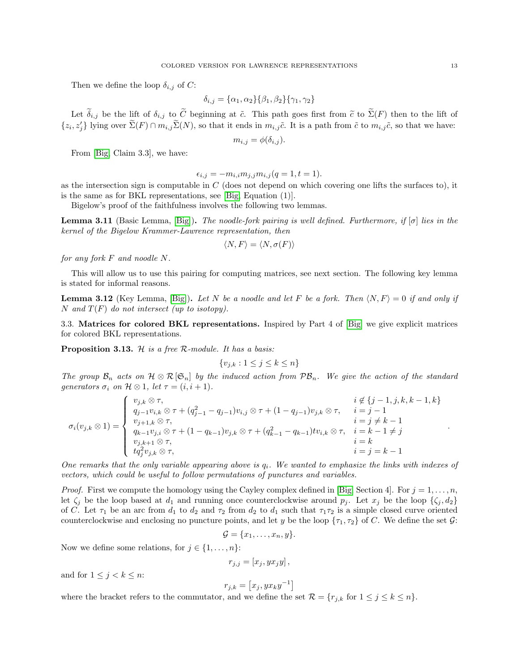Then we define the loop  $\delta_{i,j}$  of C:

$$
\delta_{i,j} = {\alpha_1, \alpha_2} {\beta_1, \beta_2} {\gamma_1, \gamma_2}
$$

Let  $\tilde{\delta}_{i,j}$  be the lift of  $\delta_{i,j}$  to  $\tilde{C}$  beginning at  $\tilde{c}$ . This path goes first from  $\tilde{c}$  to  $\tilde{\Sigma}(F)$  then to the lift of  $\{z_i, z'_j\}$  lying over  $\tilde{\Sigma}(F) \cap m_{i,j} \tilde{\Sigma}(N)$ , so that it ends in  $m_{i,j} \tilde{c}$ . It is a path from  $\tilde{c}$  to  $m_{i,j} \tilde{c}$ , so that we have:

$$
m_{i,j} = \phi(\delta_{i,j}).
$$

From [\[Big,](#page-27-4) Claim 3.3], we have:

$$
\epsilon_{i,j} = -m_{i,i}m_{j,j}m_{i,j}(q = 1, t = 1).
$$

as the intersection sign is computable in  $C$  (does not depend on which covering one lifts the surfaces to), it is the same as for BKL representations, see [\[Big,](#page-27-4) Equation (1)].

Bigelow's proof of the faithfulness involves the following two lemmas.

<span id="page-12-1"></span>**Lemma 3.11** (Basic Lemma, [\[Big\]](#page-27-4)). The noodle-fork pairing is well defined. Furthermore, if  $[\sigma]$  lies in the kernel of the Bigelow Krammer-Lawrence representation, then

$$
\langle N, F \rangle = \langle N, \sigma(F) \rangle
$$

for any fork F and noodle N.

This will allow us to use this pairing for computing matrices, see next section. The following key lemma is stated for informal reasons.

**Lemma 3.12** (Key Lemma, [\[Big\]](#page-27-4)). Let N be a noodle and let F be a fork. Then  $\langle N, F \rangle = 0$  if and only if N and  $T(F)$  do not intersect (up to isotopy).

<span id="page-12-0"></span>3.3. Matrices for colored BKL representations. Inspired by Part 4 of [\[Big\]](#page-27-4) we give explicit matrices for colored BKL representations.

<span id="page-12-2"></span>**Proposition 3.13.**  $H$  is a free  $R$ -module. It has a basis:

$$
\{v_{j,k} : 1 \le j \le k \le n\}
$$

The group  $\mathcal{B}_n$  acts on  $\mathcal{H} \otimes \mathcal{R}[\mathfrak{S}_n]$  by the induced action from  $\mathcal{PB}_n$ . We give the action of the standard generators  $\sigma_i$  on  $\mathcal{H} \otimes 1$ , let  $\tau = (i, i + 1)$ .

$$
\sigma_i(v_{j,k} \otimes 1) = \begin{cases} v_{j,k} \otimes \tau, & i \notin \{j-1,j,k,k-1,k\} \\ q_{j-1}v_{i,k} \otimes \tau + (q_{j-1}^2 - q_{j-1})v_{i,j} \otimes \tau + (1-q_{j-1})v_{j,k} \otimes \tau, & i = j-1 \\ v_{j+1,k} \otimes \tau, & i = j \neq k-1 \\ q_{k-1}v_{j,i} \otimes \tau + (1-q_{k-1})v_{j,k} \otimes \tau + (q_{k-1}^2 - q_{k-1})tv_{i,k} \otimes \tau, & i = k-1 \neq j \\ v_{j,k+1} \otimes \tau, & i = k \\ t q_j^2 v_{j,k} \otimes \tau, & i = j = k-1 \end{cases}
$$

One remarks that the only variable appearing above is  $q_i$ . We wanted to emphasize the links with indexes of vectors, which could be useful to follow permutations of punctures and variables.

*Proof.* First we compute the homology using the Cayley complex defined in [\[Big,](#page-27-4) Section 4]. For  $j = 1, \ldots, n$ , let  $\zeta_i$  be the loop based at  $d_1$  and running once counterclockwise around  $p_i$ . Let  $x_i$  be the loop  $\{\zeta_i, d_2\}$ of C. Let  $\tau_1$  be an arc from  $d_1$  to  $d_2$  and  $\tau_2$  from  $d_2$  to  $d_1$  such that  $\tau_1\tau_2$  is a simple closed curve oriented counterclockwise and enclosing no puncture points, and let y be the loop  $\{\tau_1, \tau_2\}$  of C. We define the set  $\mathcal{G}$ :

$$
\mathcal{G} = \{x_1, \ldots, x_n, y\}.
$$

Now we define some relations, for  $j \in \{1, \ldots, n\}$ :

$$
r_{j,j}=[x_j, yx_jy],
$$

and for  $1 \leq j < k \leq n$ :

$$
r_{j,k} = \left[x_j, y x_k y^{-1}\right]
$$

where the bracket refers to the commutator, and we define the set  $\mathcal{R} = \{r_{j,k} \text{ for } 1 \leq j \leq k \leq n\}.$ 

.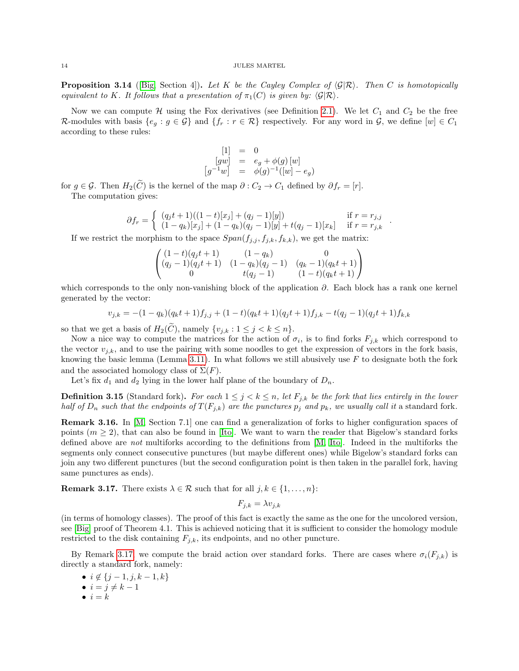**Proposition 3.14** ([\[Big,](#page-27-4) Section 4]). Let K be the Cayley Complex of  $\langle \mathcal{G} | \mathcal{R} \rangle$ . Then C is homotopically equivalent to K. It follows that a presentation of  $\pi_1(C)$  is given by:  $\langle \mathcal{G} | \mathcal{R} \rangle$ .

Now we can compute  $H$  using the Fox derivatives (see Definition [2.1\)](#page-2-2). We let  $C_1$  and  $C_2$  be the free R-modules with basis  $\{e_q : g \in \mathcal{G}\}\$  and  $\{f_r : r \in \mathcal{R}\}\$  respectively. For any word in  $\mathcal{G}$ , we define  $[w] \in C_1$ according to these rules:

$$
\begin{array}{rcl}\n[1] & = & 0\\ \n[gw] & = & e_g + \phi(g)[w] \\
[g^{-1}w] & = & \phi(g)^{-1}([w] - e_g)\n\end{array}
$$

for  $g \in \mathcal{G}$ . Then  $H_2(\widetilde{C})$  is the kernel of the map  $\partial : C_2 \to C_1$  defined by  $\partial f_r = [r]$ .

The computation gives:

$$
\partial f_r = \begin{cases} (q_j t + 1)((1-t)[x_j] + (q_j - 1)[y]) & \text{if } r = r_{j,j} \\ (1-q_k)[x_j] + (1-q_k)(q_j - 1)[y] + t(q_j - 1)[x_k] & \text{if } r = r_{j,k} \end{cases}
$$

.

If we restrict the morphism to the space  $Span(f_{i,j}, f_{j,k}, f_{k,k})$ , we get the matrix:

$$
\begin{pmatrix}\n(1-t)(q_jt+1) & (1-q_k) & 0 \\
(q_j-1)(q_jt+1) & (1-q_k)(q_j-1) & (q_k-1)(q_kt+1) \\
0 & t(q_j-1) & (1-t)(q_kt+1)\n\end{pmatrix}
$$

which corresponds to the only non-vanishing block of the application  $\partial$ . Each block has a rank one kernel generated by the vector:

$$
v_{j,k} = -(1 - q_k)(q_k t + 1)f_{j,j} + (1 - t)(q_k t + 1)(q_j t + 1)f_{j,k} - t(q_j - 1)(q_j t + 1)f_{k,k}
$$

so that we get a basis of  $H_2(C)$ , namely  $\{v_{j,k} : 1 \le j < k \le n\}.$ 

Now a nice way to compute the matrices for the action of  $\sigma_i$ , is to find forks  $F_{j,k}$  which correspond to the vector  $v_{j,k}$ , and to use the pairing with some noodles to get the expression of vectors in the fork basis, knowing the basic lemma (Lemma [3.11\)](#page-12-1). In what follows we still abusively use  $F$  to designate both the fork and the associated homology class of  $\Sigma(F)$ .

Let's fix  $d_1$  and  $d_2$  lying in the lower half plane of the boundary of  $D_n$ .

**Definition 3.15** (Standard fork). For each  $1 \leq j < k \leq n$ , let  $F_{j,k}$  be the fork that lies entirely in the lower half of  $D_n$  such that the endpoints of  $T(F_{j,k})$  are the punctures  $p_j$  and  $p_k$ , we usually call it a standard fork.

<span id="page-13-1"></span>Remark 3.16. In [\[M,](#page-27-8) Section 7.1] one can find a generalization of forks to higher configuration spaces of points  $(m \geq 2)$ , that can also be found in [\[Ito\]](#page-27-3). We want to warn the reader that Bigelow's standard forks defined above are not multiforks according to the definitions from [\[M,](#page-27-8) [Ito\]](#page-27-3). Indeed in the multiforks the segments only connect consecutive punctures (but maybe different ones) while Bigelow's standard forks can join any two different punctures (but the second configuration point is then taken in the parallel fork, having same punctures as ends).

<span id="page-13-0"></span>**Remark 3.17.** There exists  $\lambda \in \mathcal{R}$  such that for all  $j, k \in \{1, ..., n\}$ :

$$
F_{j,k} = \lambda v_{j,k}
$$

(in terms of homology classes). The proof of this fact is exactly the same as the one for the uncolored version, see [\[Big\]](#page-27-4) proof of Theorem 4.1. This is achieved noticing that it is sufficient to consider the homology module restricted to the disk containing  $F_{j,k}$ , its endpoints, and no other puncture.

By Remark [3.17,](#page-13-0) we compute the braid action over standard forks. There are cases where  $\sigma_i(F_{j,k})$  is directly a standard fork, namely:

- $i \notin \{j-1, j, k-1, k\}$
- $i = j \neq k 1$
- $\bullet i = k$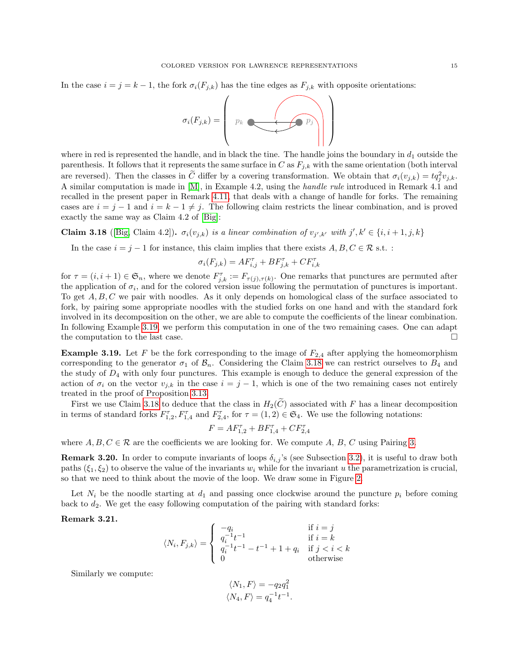In the case  $i = j = k - 1$ , the fork  $\sigma_i(F_{j,k})$  has the tine edges as  $F_{j,k}$  with opposite orientations:



where in red is represented the handle, and in black the tine. The handle joins the boundary in  $d_1$  outside the parenthesis. It follows that it represents the same surface in C as  $F_{i,k}$  with the same orientation (both interval are reversed). Then the classes in  $\tilde{C}$  differ by a covering transformation. We obtain that  $\sigma_i(v_{j,k}) = tq_j^2 v_{j,k}$ . A similar computation is made in [\[M\]](#page-27-8), in Example 4.2, using the handle rule introduced in Remark 4.1 and recalled in the present paper in Remark [4.11,](#page-23-0) that deals with a change of handle for forks. The remaining cases are  $i = j - 1$  and  $i = k - 1 \neq j$ . The following claim restricts the linear combination, and is proved exactly the same way as Claim 4.2 of [\[Big\]](#page-27-4):

<span id="page-14-1"></span>**Claim 3.18** ([\[Big,](#page-27-4) Claim 4.2]).  $\sigma_i(v_{j,k})$  is a linear combination of  $v_{j',k'}$  with  $j', k' \in \{i, i+1, j, k\}$ 

In the case  $i = j - 1$  for instance, this claim implies that there exists  $A, B, C \in \mathcal{R}$  s.t. :

$$
\sigma_i(F_{j,k}) = AF_{i,j}^{\tau} + BF_{j,k}^{\tau} + CF_{i,k}^{\tau}
$$

for  $\tau = (i, i + 1) \in \mathfrak{S}_n$ , where we denote  $F_{j,k}^{\tau} := F_{\tau(j),\tau(k)}$ . One remarks that punctures are permuted after the application of  $\sigma_i$ , and for the colored version issue following the permutation of punctures is important. To get A, B, C we pair with noodles. As it only depends on homological class of the surface associated to fork, by pairing some appropriate noodles with the studied forks on one hand and with the standard fork involved in its decomposition on the other, we are able to compute the coefficients of the linear combination. In following Example [3.19,](#page-14-0) we perform this computation in one of the two remaining cases. One can adapt the computation to the last case.  $\Box$ 

<span id="page-14-0"></span>**Example 3.19.** Let F be the fork corresponding to the image of  $F_{2,4}$  after applying the homeomorphism corresponding to the generator  $\sigma_1$  of  $\mathcal{B}_n$ . Considering the Claim [3.18](#page-14-1) we can restrict ourselves to  $B_4$  and the study of  $D_4$  with only four punctures. This example is enough to deduce the general expression of the action of  $\sigma_i$  on the vector  $v_{j,k}$  in the case  $i = j - 1$ , which is one of the two remaining cases not entirely treated in the proof of Proposition [3.13.](#page-12-2)

First we use Claim [3.18](#page-14-1) to deduce that the class in  $H_2(\tilde{C})$  associated with F has a linear decomposition in terms of standard forks  $F_{1,2}^{\tau}$ ,  $F_{1,4}^{\tau}$  and  $F_{2,4}^{\tau}$ , for  $\tau = (1,2) \in \mathfrak{S}_4$ . We use the following notations:

$$
F = AF_{1,2}^{\tau} + BF_{1,4}^{\tau} + CF_{2,4}^{\tau}
$$

where  $A, B, C \in \mathcal{R}$  are the coefficients we are looking for. We compute A, B, C using Pairing [3.](#page-11-1)

**Remark 3.20.** In order to compute invariants of loops  $\delta_{i,j}$ 's (see Subsection [3.2\)](#page-11-0), it is useful to draw both paths  $(\xi_1, \xi_2)$  to observe the value of the invariants  $w_i$  while for the invariant u the parametrization is crucial, so that we need to think about the movie of the loop. We draw some in Figure [2.](#page-16-0)

Let  $N_i$  be the noodle starting at  $d_1$  and passing once clockwise around the puncture  $p_i$  before coming back to  $d_2$ . We get the easy following computation of the pairing with standard forks:

## Remark 3.21.

$$
\langle N_i, F_{j,k} \rangle = \begin{cases}\n-q_i & \text{if } i = j \\
q_i^{-1}t^{-1} & \text{if } i = k \\
q_i^{-1}t^{-1} - t^{-1} + 1 + q_i & \text{if } j < i < k \\
0 & \text{otherwise}\n\end{cases}
$$

Similarly we compute:

$$
\langle N_1, F \rangle = -q_2 q_1^2
$$
  

$$
\langle N_4, F \rangle = q_4^{-1} t^{-1}.
$$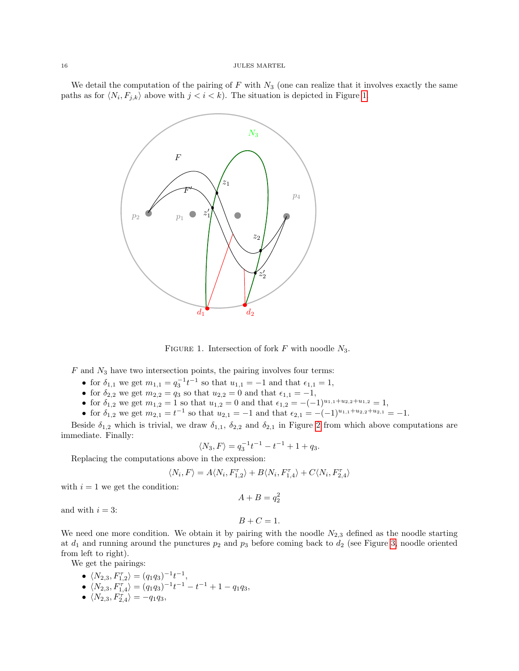We detail the computation of the pairing of  $F$  with  $N_3$  (one can realize that it involves exactly the same paths as for  $\langle N_i, F_{j,k} \rangle$  above with  $j < i < k$ ). The situation is depicted in Figure [1.](#page-15-0)



<span id="page-15-0"></span>FIGURE 1. Intersection of fork  $F$  with noodle  $N_3$ .

 $F$  and  $N_3$  have two intersection points, the pairing involves four terms:

- for  $\delta_{1,1}$  we get  $m_{1,1} = q_3^{-1} t^{-1}$  so that  $u_{1,1} = -1$  and that  $\epsilon_{1,1} = 1$ ,
- for  $\delta_{2,2}$  we get  $m_{2,2} = q_3$  so that  $u_{2,2} = 0$  and that  $\epsilon_{1,1} = -1$ ,
- for  $\delta_{1,2}$  we get  $m_{1,2} = 1$  so that  $u_{1,2} = 0$  and that  $\epsilon_{1,2} = -(-1)^{u_{1,1}+u_{2,2}+u_{1,2}} = 1$ ,
- for  $\delta_{1,2}$  we get  $m_{2,1} = t^{-1}$  so that  $u_{2,1} = -1$  and that  $\epsilon_{2,1} = -(-1)^{u_{1,1}+u_{2,2}+u_{2,1}} = -1$ .

Beside  $\delta_{1,2}$  which is trivial, we draw  $\delta_{1,1}$ ,  $\delta_{2,2}$  and  $\delta_{2,1}$  in Figure [2](#page-16-0) from which above computations are immediate. Finally:

$$
\langle N_3, F \rangle = q_3^{-1} t^{-1} - t^{-1} + 1 + q_3.
$$

Replacing the computations above in the expression:

$$
\langle N_i, F \rangle = A \langle N_i, F_{1,2}^{\tau} \rangle + B \langle N_i, F_{1,4}^{\tau} \rangle + C \langle N_i, F_{2,4}^{\tau} \rangle
$$

with  $i = 1$  we get the condition:

$$
A + B = q_2^2
$$

 $B + C = 1.$ 

and with  $i = 3$ :

# We need one more condition. We obtain it by pairing with the noodle  $N_{2,3}$  defined as the noodle starting at  $d_1$  and running around the punctures  $p_2$  and  $p_3$  before coming back to  $d_2$  (see Figure [3,](#page-16-1) noodle oriented from left to right).

We get the pairings:

- $\langle N_{2,3}, F_{1,2}^{\tau} \rangle = (q_1 q_3)^{-1} t^{-1},$
- $\langle N_{2,3}, F_{1,4}^{\tau} \rangle = (q_1q_3)^{-1}t^{-1} t^{-1} + 1 q_1q_3,$
- $\langle N_{2,3}, F_{2,4}^{\tau} \rangle = -q_1 q_3,$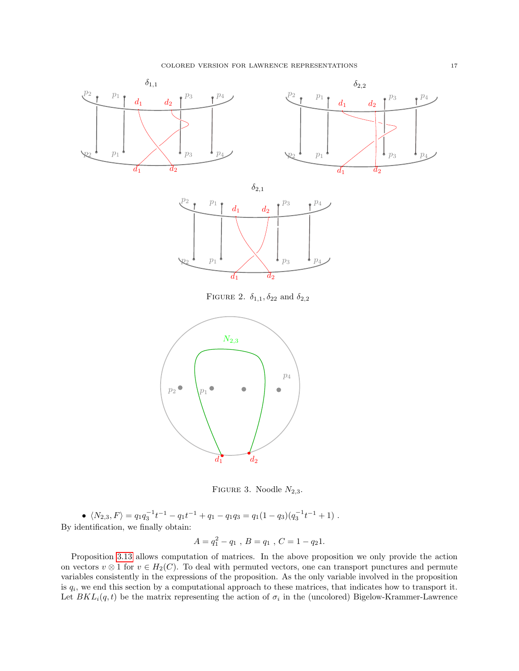

<span id="page-16-1"></span>FIGURE 3. Noodle  $N_{2,3}$ .

<span id="page-16-0"></span> $d_1$   $d_2$ 

•  $\langle N_{2,3}, F \rangle = q_1 q_3^{-1} t^{-1} - q_1 t^{-1} + q_1 - q_1 q_3 = q_1 (1 - q_3) (q_3^{-1} t^{-1} + 1)$ . By identification, we finally obtain:

$$
A = q_1^2 - q_1 , B = q_1 , C = 1 - q_2 1.
$$

Proposition [3.13](#page-12-2) allows computation of matrices. In the above proposition we only provide the action on vectors  $v \otimes 1$  for  $v \in H_2(C)$ . To deal with permuted vectors, one can transport punctures and permute variables consistently in the expressions of the proposition. As the only variable involved in the proposition is  $q_i$ , we end this section by a computational approach to these matrices, that indicates how to transport it. Let  $BKL_i(q,t)$  be the matrix representing the action of  $\sigma_i$  in the (uncolored) Bigelow-Krammer-Lawrence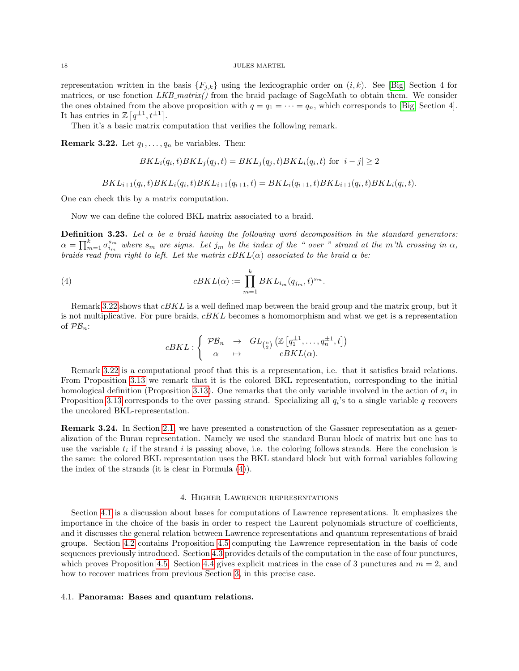representation written in the basis  ${F_{i,k}}$  using the lexicographic order on  $(i, k)$ . See [\[Big\]](#page-27-4) Section 4 for matrices, or use fonction  $LKB_matrix$  from the braid package of SageMath to obtain them. We consider the ones obtained from the above proposition with  $q = q_1 = \cdots = q_n$ , which corresponds to [\[Big,](#page-27-4) Section 4]. It has entries in  $\mathbb{Z}\left[q^{\pm 1}, t^{\pm 1}\right]$ .

Then it's a basic matrix computation that verifies the following remark.

<span id="page-17-2"></span>**Remark 3.22.** Let  $q_1, \ldots, q_n$  be variables. Then:

$$
BKL_i(q_i, t)BKL_j(q_j, t) = BKL_j(q_j, t)BKL_i(q_i, t) \text{ for } |i - j| \ge 2
$$

$$
BKL_{i+1}(q_i, t)BKL_i(q_i, t)BKL_{i+1}(q_{i+1}, t) = BKL_i(q_{i+1}, t)BKL_{i+1}(q_i, t)BKL_i(q_i, t).
$$

One can check this by a matrix computation.

Now we can define the colored BKL matrix associated to a braid.

**Definition 3.23.** Let  $\alpha$  be a braid having the following word decomposition in the standard generators:  $\alpha = \prod_{m=1}^k \sigma_{i_m}^{s_m}$  where  $s_m$  are signs. Let  $j_m$  be the index of the " over " strand at the m'th crossing in  $\alpha$ , braids read from right to left. Let the matrix  $cBKL(\alpha)$  associated to the braid  $\alpha$  be:

(4) 
$$
cBKL(\alpha) := \prod_{m=1}^{k} BKL_{i_m}(q_{j_m}, t)^{s_m}.
$$

Remark [3.22](#page-17-2) shows that cBKL is a well defined map between the braid group and the matrix group, but it is not multiplicative. For pure braids, cBKL becomes a homomorphism and what we get is a representation of  $\mathcal{PB}_n$ :

<span id="page-17-3"></span>
$$
cBKL: \left\{ \begin{array}{ccc} \mathcal{PB}_n & \to & GL_{\binom{n}{2}}\left(\mathbb{Z}\left[q_1^{\pm 1}, \ldots, q_n^{\pm 1}, t\right]\right) \\ \alpha & \mapsto & cBKL(\alpha). \end{array} \right.
$$

Remark [3.22](#page-17-2) is a computational proof that this is a representation, i.e. that it satisfies braid relations. From Proposition [3.13](#page-12-2) we remark that it is the colored BKL representation, corresponding to the initial homological definition (Proposition [3.13\)](#page-12-2). One remarks that the only variable involved in the action of  $\sigma_i$  in Proposition [3.13](#page-12-2) corresponds to the over passing strand. Specializing all  $q_i$ 's to a single variable q recovers the uncolored BKL-representation.

Remark 3.24. In Section [2.1,](#page-2-1) we have presented a construction of the Gassner representation as a generalization of the Burau representation. Namely we used the standard Burau block of matrix but one has to use the variable  $t_i$  if the strand i is passing above, i.e. the coloring follows strands. Here the conclusion is the same: the colored BKL representation uses the BKL standard block but with formal variables following the index of the strands (it is clear in Formula [\(4\)](#page-17-3)).

#### 4. Higher Lawrence representations

<span id="page-17-0"></span>Section [4.1](#page-17-1) is a discussion about bases for computations of Lawrence representations. It emphasizes the importance in the choice of the basis in order to respect the Laurent polynomials structure of coefficients, and it discusses the general relation between Lawrence representations and quantum representations of braid groups. Section [4.2](#page-18-0) contains Proposition [4.5](#page-20-0) computing the Lawrence representation in the basis of code sequences previously introduced. Section [4.3](#page-22-0) provides details of the computation in the case of four punctures, which proves Proposition [4.5.](#page-20-0) Section [4.4](#page-24-0) gives explicit matrices in the case of 3 punctures and  $m = 2$ , and how to recover matrices from previous Section [3,](#page-9-0) in this precise case.

## <span id="page-17-1"></span>4.1. Panorama: Bases and quantum relations.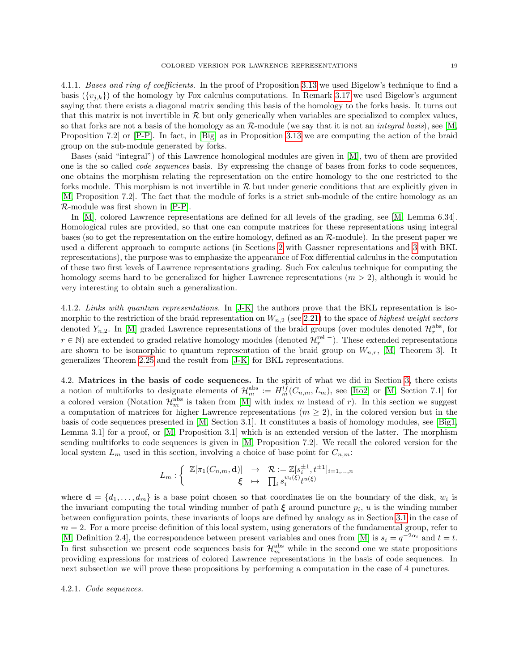4.1.1. Bases and ring of coefficients. In the proof of Proposition [3.13](#page-12-2) we used Bigelow's technique to find a basis  $({v_{i,k}})$  of the homology by Fox calculus computations. In Remark [3.17](#page-13-0) we used Bigelow's argument saying that there exists a diagonal matrix sending this basis of the homology to the forks basis. It turns out that this matrix is not invertible in  $R$  but only generically when variables are specialized to complex values, so that forks are not a basis of the homology as an  $\mathcal{R}\text{-module}$  (we say that it is not an *integral basis*), see [\[M,](#page-27-8) Proposition 7.2] or [\[P-P\]](#page-27-19). In fact, in [\[Big\]](#page-27-4) as in Proposition [3.13](#page-12-2) we are computing the action of the braid group on the sub-module generated by forks.

Bases (said "integral") of this Lawrence homological modules are given in [\[M\]](#page-27-8), two of them are provided one is the so called code sequences basis. By expressing the change of bases from forks to code sequences, one obtains the morphism relating the representation on the entire homology to the one restricted to the forks module. This morphism is not invertible in  $R$  but under generic conditions that are explicitly given in [\[M,](#page-27-8) Proposition 7.2]. The fact that the module of forks is a strict sub-module of the entire homology as an R-module was first shown in [\[P-P\]](#page-27-19).

In [\[M\]](#page-27-8), colored Lawrence representations are defined for all levels of the grading, see [\[M,](#page-27-8) Lemma 6.34]. Homological rules are provided, so that one can compute matrices for these representations using integral bases (so to get the representation on the entire homology, defined as an  $R$ -module). In the present paper we used a different approach to compute actions (in Sections [2](#page-2-0) with Gassner representations and [3](#page-9-0) with BKL representations), the purpose was to emphasize the appearance of Fox differential calculus in the computation of these two first levels of Lawrence representations grading. Such Fox calculus technique for computing the homology seems hard to be generalized for higher Lawrence representations  $(m > 2)$ , although it would be very interesting to obtain such a generalization.

4.1.2. Links with quantum representations. In [\[J-K\]](#page-27-6) the authors prove that the BKL representation is isomorphic to the restriction of the braid representation on  $W_{n,2}$  (see [2.21\)](#page-7-2) to the space of *highest weight vectors* denoted  $Y_{n,2}$ . In [\[M\]](#page-27-8) graded Lawrence representations of the braid groups (over modules denoted  $\mathcal{H}_r^{\text{abs}}$ , for  $r \in \mathbb{N}$ ) are extended to graded relative homology modules (denoted  $\mathcal{H}_r^{\text{rel}}$ ). These extended representations are shown to be isomorphic to quantum representation of the braid group on  $W_{n,r}$ , [\[M,](#page-27-8) Theorem 3]. It generalizes Theorem [2.25](#page-8-0) and the result from [\[J-K\]](#page-27-6) for BKL representations.

<span id="page-18-0"></span>4.2. Matrices in the basis of code sequences. In the spirit of what we did in Section [3,](#page-9-0) there exists a notion of multiforks to designate elements of  $\mathcal{H}_m^{\text{abs}} := H_m^{lf}(C_{n,m}, L_m)$ , see [\[Ito2\]](#page-27-20) or [\[M,](#page-27-8) Section 7.1] for a colored version (Notation  $\mathcal{H}_m^{\text{abs}}$  is taken from [\[M\]](#page-27-8) with index m instead of r). In this section we suggest a computation of matrices for higher Lawrence representations  $(m \geq 2)$ , in the colored version but in the basis of code sequences presented in [\[M,](#page-27-8) Section 3.1]. It constitutes a basis of homology modules, see [\[Big1,](#page-27-21) Lemma 3.1] for a proof, or [\[M,](#page-27-8) Proposition 3.1] which is an extended version of the latter. The morphism sending multiforks to code sequences is given in [\[M,](#page-27-8) Proposition 7.2]. We recall the colored version for the local system  $L_m$  used in this section, involving a choice of base point for  $C_{n,m}$ :

$$
L_m: \left\{ \begin{array}{rcl} \mathbb{Z}[\pi_1(C_{n,m},\mathbf{d})] & \to & \mathcal{R}: = \mathbb{Z}[s_i^{\pm 1},t^{\pm 1}]_{i=1,...,n} \\ \pmb{\xi} & \mapsto & \prod_i s_i^{w_i(\xi)} t^{u(\xi)} \end{array} \right.
$$

where  $\mathbf{d} = \{d_1, \ldots, d_m\}$  is a base point chosen so that coordinates lie on the boundary of the disk,  $w_i$  is the invariant computing the total winding number of path  $\xi$  around puncture  $p_i$ , u is the winding number between configuration points, these invariants of loops are defined by analogy as in Section [3.1](#page-9-1) in the case of  $m = 2$ . For a more precise definition of this local system, using generators of the fundamental group, refer to [\[M,](#page-27-8) Definition 2.4], the correspondence between present variables and ones from [\[M\]](#page-27-8) is  $s_i = q^{-2\alpha_i}$  and  $t = t$ . In first subsection we present code sequences basis for  $\mathcal{H}_m^{\text{abs}}$  while in the second one we state propositions providing expressions for matrices of colored Lawrence representations in the basis of code sequences. In next subsection we will prove these propositions by performing a computation in the case of 4 punctures.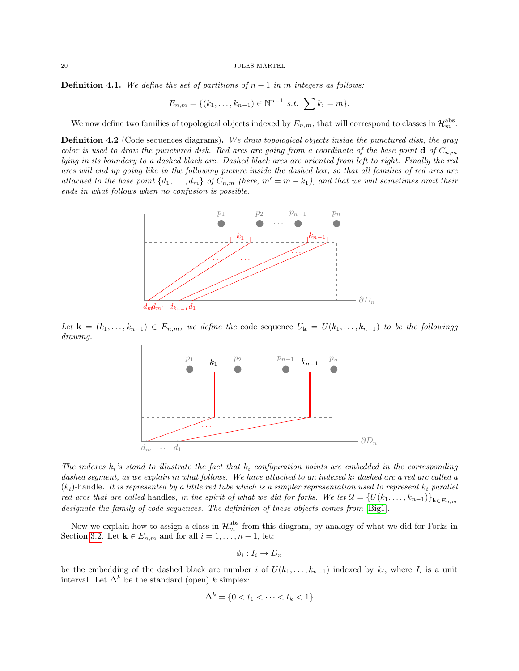**Definition 4.1.** We define the set of partitions of  $n-1$  in m integers as follows:

$$
E_{n,m} = \{(k_1, \ldots, k_{n-1}) \in \mathbb{N}^{n-1} \text{ s.t. } \sum k_i = m\}.
$$

We now define two families of topological objects indexed by  $E_{n,m}$ , that will correspond to classes in  $\mathcal{H}_m^{\text{abs}}$ .

**Definition 4.2** (Code sequences diagrams). We draw topological objects inside the punctured disk, the gray color is used to draw the punctured disk. Red arcs are going from a coordinate of the base point  $d$  of  $C_{n,m}$ lying in its boundary to a dashed black arc. Dashed black arcs are oriented from left to right. Finally the red arcs will end up going like in the following picture inside the dashed box, so that all families of red arcs are attached to the base point  $\{d_1, \ldots, d_m\}$  of  $C_{n,m}$  (here,  $m' = m - k_1$ ), and that we will sometimes omit their ends in what follows when no confusion is possible.



Let  $\mathbf{k} = (k_1, \ldots, k_{n-1}) \in E_{n,m}$ , we define the code sequence  $U_{\mathbf{k}} = U(k_1, \ldots, k_{n-1})$  to be the followingg drawing.



The indexes  $k_i$ 's stand to illustrate the fact that  $k_i$  configuration points are embedded in the corresponding dashed segment, as we explain in what follows. We have attached to an indexed  $k_i$  dashed arc a red arc called a  $(k<sub>i</sub>)$ -handle. It is represented by a little red tube which is a simpler representation used to represent  $k<sub>i</sub>$  parallel red arcs that are called handles, in the spirit of what we did for forks. We let  $\mathcal{U} = \{U(k_1, \ldots, k_{n-1})\}_{k \in E_n}$ designate the family of code sequences. The definition of these objects comes from [\[Big1\]](#page-27-21).

Now we explain how to assign a class in  $\mathcal{H}_m^{\text{abs}}$  from this diagram, by analogy of what we did for Forks in Section [3.2.](#page-11-0) Let  $\mathbf{k} \in E_{n,m}$  and for all  $i = 1, \ldots, n-1$ , let:

$$
\phi_i: I_i \to D_n
$$

be the embedding of the dashed black arc number i of  $U(k_1, \ldots, k_{n-1})$  indexed by  $k_i$ , where  $I_i$  is a unit interval. Let  $\Delta^k$  be the standard (open) k simplex:

$$
\Delta^k = \{0 < t_1 < \dots < t_k < 1\}
$$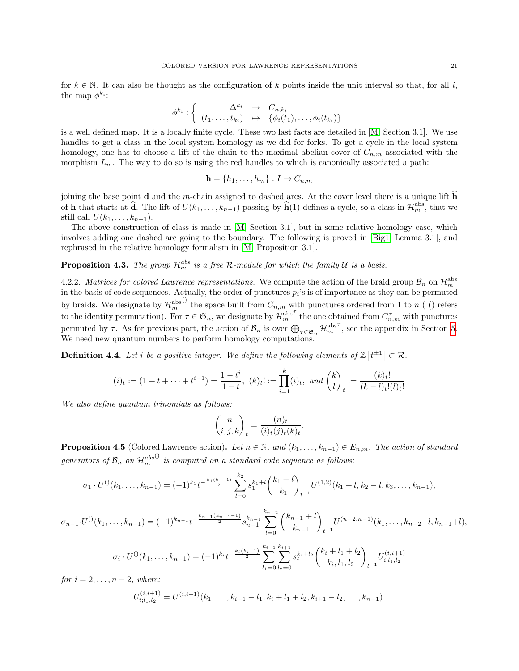for  $k \in \mathbb{N}$ . It can also be thought as the configuration of k points inside the unit interval so that, for all i, the map  $\phi^{k_i}$ :

$$
\phi^{k_i} : \left\{ \begin{array}{rcl} \Delta^{k_i} & \to & C_{n,k_i} \\ (t_1,\ldots,t_{k_i}) & \mapsto & \{\phi_i(t_1),\ldots,\phi_i(t_{k_i})\} \end{array} \right.
$$

is a well defined map. It is a locally finite cycle. These two last facts are detailed in [\[M,](#page-27-8) Section 3.1]. We use handles to get a class in the local system homology as we did for forks. To get a cycle in the local system homology, one has to choose a lift of the chain to the maximal abelian cover of  $C_{n,m}$  associated with the morphism  $L_m$ . The way to do so is using the red handles to which is canonically associated a path:

$$
\mathbf{h} = \{h_1, \dots, h_m\} : I \to C_{n,m}
$$

joining the base point **d** and the m-chain assigned to dashed arcs. At the cover level there is a unique lift  $\hat{h}$ of **h** that starts at  $\hat{\mathbf{d}}$ . The lift of  $U(k_1, \ldots, k_{n-1})$  passing by  $\hat{\mathbf{h}}(1)$  defines a cycle, so a class in  $\mathcal{H}_m^{\text{abs}}$ , that we still call  $U(k_1, \ldots, k_{n-1})$ .

The above construction of class is made in [\[M,](#page-27-8) Section 3.1], but in some relative homology case, which involves adding one dashed arc going to the boundary. The following is proved in [\[Big1,](#page-27-21) Lemma 3.1], and rephrased in the relative homology formalism in [\[M,](#page-27-8) Proposition 3.1].

# **Proposition 4.3.** The group  $\mathcal{H}_m^{abs}$  is a free R-module for which the family U is a basis.

4.2.2. Matrices for colored Lawrence representations. We compute the action of the braid group  $\mathcal{B}_n$  on  $\mathcal{H}_m^{\text{abs}}$ in the basis of code sequences. Actually, the order of punctures  $p_i$ 's is of importance as they can be permuted by braids. We designate by  $\mathcal{H}_m^{\text{abs}}(l)$  the space built from  $C_{n,m}$  with punctures ordered from 1 to n ( () refers to the identity permutation). For  $\tau \in \mathfrak{S}_n$ , we designate by  $\mathcal{H}_m^{\text{abs}}$  $\tau$  the one obtained from  $C_{n,m}^{\tau}$  with punctures permuted by  $\tau$ . As for previous part, the action of  $\mathcal{B}_n$  is over  $\bigoplus_{\tau \in \mathfrak{S}_n} \mathcal{H}_m^{\text{abs}}$  $\tau$ , see the appendix in Section [5.](#page-25-0) We need new quantum numbers to perform homology computations.

**Definition 4.4.** Let i be a positive integer. We define the following elements of  $\mathbb{Z}[t^{\pm 1}] \subset \mathcal{R}$ .

$$
(i)_t := (1 + t + \dots + t^{i-1}) = \frac{1 - t^i}{1 - t}, \ (k)_t! := \prod_{i=1}^k (i)_t, \ and \ {k \choose l}_t := \frac{(k)_t!}{(k - l)_t!(l)_t!}
$$

We also define quantum trinomials as follows:

$$
\binom{n}{i,j,k}_t = \frac{(n)_t}{(i)_t(j)_t(k)_t}.
$$

<span id="page-20-0"></span>**Proposition 4.5** (Colored Lawrence action). Let  $n \in \mathbb{N}$ , and  $(k_1, \ldots, k_{n-1}) \in E_{n,m}$ . The action of standard generators of  $\mathcal{B}_n$  on  $\mathcal{H}_m^{abs^{()}}$  is computed on a standard code sequence as follows:

$$
\sigma_1 \cdot U^{(1)}(k_1,\ldots,k_{n-1}) = (-1)^{k_1} t^{-\frac{k_1(k_1-1)}{2}} \sum_{l=0}^{k_2} s_1^{k_1+l} {k_1+l \choose k_1}_{t-1} U^{(1,2)}(k_1+l,k_2-l,k_3,\ldots,k_{n-1}),
$$

$$
\sigma_{n-1} \cdot U^{(1)}(k_1, \ldots, k_{n-1}) = (-1)^{k_{n-1}} t^{-\frac{k_{n-1}(k_{n-1}-1)}{2}} s_{n-1}^{k_{n-1}} \sum_{l=0}^{k_{n-1}} \binom{k_{n-1}+l}{k_{n-1}} t^{(n-2,n-1)}(k_1, \ldots, k_{n-2}-l, k_{n-1}+l),
$$

$$
\sigma_i \cdot U^{(1)}(k_1, \ldots, k_{n-1}) = (-1)^{k_i} t^{-\frac{k_i(k_i-1)}{2}} \sum_{l_1=0}^{k_{i-1}} \sum_{l_2=0}^{k_{i+1}} s_i^{k_i+l_2} \binom{k_i+l_1+l_2}{k_i, l_1, l_2} t^{(i, i+1)}_{l_1,l_2}
$$

for  $i = 2, \ldots, n-2$ , where:

$$
U_{i;l_1,l_2}^{(i,i+1)} = U^{(i,i+1)}(k_1,\ldots,k_{i-1}-l_1,k_i+l_1+l_2,k_{i+1}-l_2,\ldots,k_{n-1}).
$$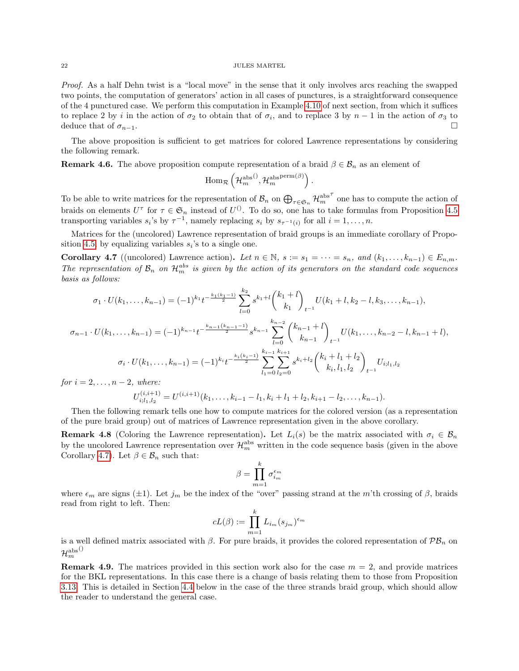Proof. As a half Dehn twist is a "local move" in the sense that it only involves arcs reaching the swapped two points, the computation of generators' action in all cases of punctures, is a straightforward consequence of the 4 punctured case. We perform this computation in Example [4.10](#page-22-1) of next section, from which it suffices to replace 2 by i in the action of  $\sigma_2$  to obtain that of  $\sigma_i$ , and to replace 3 by  $n-1$  in the action of  $\sigma_3$  to deduce that of  $\sigma_{n-1}$ .

The above proposition is sufficient to get matrices for colored Lawrence representations by considering the following remark.

**Remark 4.6.** The above proposition compute representation of a braid  $\beta \in \mathcal{B}_n$  as an element of

$$
\operatorname{Hom}_{\mathcal{R}}\left(\mathcal{H}_{m}^{\operatorname{abs}(l)}, \mathcal{H}_{m}^{\operatorname{abs}{\operatorname{perm}(\beta)}}\right).
$$

To be able to write matrices for the representation of  $\mathcal{B}_n$  on  $\bigoplus_{\tau \in \mathfrak{S}_n} \mathcal{H}_m^{\text{abs}}$  $\tau$  one has to compute the action of braids on elements  $U^{\tau}$  for  $\tau \in \mathfrak{S}_n$  instead of  $U^{(1)}$ . To do so, one has to take formulas from Proposition [4.5](#page-20-0) transporting variables  $s_i$ 's by  $\tau^{-1}$ , namely replacing  $s_i$  by  $s_{\tau^{-1}(i)}$  for all  $i = 1, \ldots, n$ .

Matrices for the (uncolored) Lawrence representation of braid groups is an immediate corollary of Propo-sition [4.5,](#page-20-0) by equalizing variables  $s_i$ 's to a single one.

<span id="page-21-0"></span>Corollary 4.7 ((uncolored) Lawrence action). Let  $n \in \mathbb{N}$ ,  $s := s_1 = \cdots = s_n$ , and  $(k_1, \ldots, k_{n-1}) \in E_{n,m}$ . The representation of  $\mathcal{B}_n$  on  $\mathcal{H}_m^{abs}$  is given by the action of its generators on the standard code sequences basis as follows:

$$
\sigma_1 \cdot U(k_1, \ldots, k_{n-1}) = (-1)^{k_1} t^{-\frac{k_1(k_1-1)}{2}} \sum_{l=0}^{k_2} s^{k_1+l} {k_1 + l \choose k_1} U(k_1 + l, k_2 - l, k_3, \ldots, k_{n-1}),
$$
  

$$
\sigma_{n-1} \cdot U(k_1, \ldots, k_{n-1}) = (-1)^{k_{n-1}} t^{-\frac{k_{n-1}(k_{n-1}-1)}{2}} s^{k_{n-1}} \sum_{l=0}^{k_{n-2}} {k_{n-1} + l \choose k_{n-1}}_{t-1} U(k_1, \ldots, k_{n-2} - l, k_{n-1} + l),
$$
  

$$
\sigma_i \cdot U(k_1, \ldots, k_{n-1}) = (-1)^{k_i} t^{-\frac{k_i(k_i-1)}{2}} \sum_{l_1=0}^{k_{i-1}} \sum_{l_2=0}^{k_{i+1}} s^{k_i+l_2} {k_i + l_1 + l_2 \choose k_i, l_1, l_2} U_{i; l_1, l_2}
$$

for  $i = 2, \ldots, n-2$ , where:

$$
U_{i;l_1,l_2}^{(i,i+1)} = U^{(i,i+1)}(k_1,\ldots,k_{i-1}-l_1,k_i+l_1+l_2,k_{i+1}-l_2,\ldots,k_{n-1}).
$$

Then the following remark tells one how to compute matrices for the colored version (as a representation of the pure braid group) out of matrices of Lawrence representation given in the above corollary.

<span id="page-21-1"></span>**Remark 4.8** (Coloring the Lawrence representation). Let  $L_i(s)$  be the matrix associated with  $\sigma_i \in \mathcal{B}_n$ by the uncolored Lawrence representation over  $\mathcal{H}_m^{\text{abs}}$  written in the code sequence basis (given in the above Corollary [4.7\)](#page-21-0). Let  $\beta \in \mathcal{B}_n$  such that:

$$
\beta = \prod_{m=1}^k \sigma_{i_m}^{\epsilon_m}
$$

where  $\epsilon_m$  are signs ( $\pm 1$ ). Let  $j_m$  be the index of the "over" passing strand at the m'th crossing of  $\beta$ , braids read from right to left. Then:

$$
cL(\beta) := \prod_{m=1}^k L_{i_m}(s_{j_m})^{\epsilon_m}
$$

is a well defined matrix associated with  $\beta$ . For pure braids, it provides the colored representation of  $\mathcal{PB}_n$  on  $\mathcal{H}_m^{\rm abs}$ ()

**Remark 4.9.** The matrices provided in this section work also for the case  $m = 2$ , and provide matrices for the BKL representations. In this case there is a change of basis relating them to those from Proposition [3.13.](#page-12-2) This is detailed in Section [4.4](#page-24-0) below in the case of the three strands braid group, which should allow the reader to understand the general case.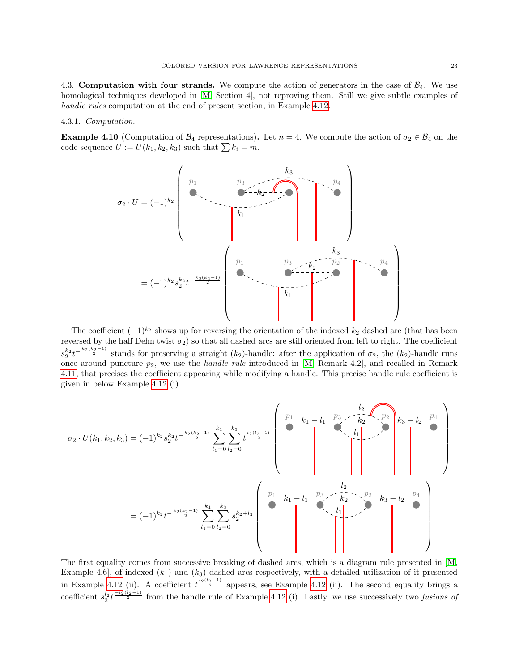<span id="page-22-0"></span>4.3. Computation with four strands. We compute the action of generators in the case of  $\mathcal{B}_4$ . We use homological techniques developed in [\[M,](#page-27-8) Section 4], not reproving them. Still we give subtle examples of handle rules computation at the end of present section, in Example [4.12.](#page-23-1)

#### 4.3.1. Computation.

<span id="page-22-1"></span>**Example 4.10** (Computation of  $\mathcal{B}_4$  representations). Let  $n = 4$ . We compute the action of  $\sigma_2 \in \mathcal{B}_4$  on the code sequence  $U := U(k_1, k_2, k_3)$  such that  $\sum k_i = m$ .



The coefficient  $(-1)^{k_2}$  shows up for reversing the orientation of the indexed  $k_2$  dashed arc (that has been reversed by the half Dehn twist  $\sigma_2$ ) so that all dashed arcs are still oriented from left to right. The coefficient  $s_2^{k_2}t^{-\frac{k_2(k_2-1)}{2}}$  stands for preserving a straight  $(k_2)$ -handle: after the application of  $\sigma_2$ , the  $(k_2)$ -handle runs once around puncture  $p_2$ , we use the *handle rule* introduced in [\[M,](#page-27-8) Remark 4.2], and recalled in Remark [4.11,](#page-23-0) that precises the coefficient appearing while modifying a handle. This precise handle rule coefficient is given in below Example [4.12](#page-23-1) (i).

$$
\sigma_2 \cdot U(k_1, k_2, k_3) = (-1)^{k_2} s_2^{k_2} t^{-\frac{k_2(k_2-1)}{2}} \sum_{l_1=0}^{k_1} \sum_{l_2=0}^{k_3} t^{\frac{l_2(l_2-1)}{2}}
$$

$$
= (-1)^{k_2} t^{-\frac{k_2(k_2-1)}{2}} \sum_{l_1=0}^{k_1} \sum_{l_2=0}^{k_3} s_2^{k_2+l_2}
$$

$$
\begin{pmatrix} p_1 & k_1 - l_1 & p_3 & \cdots & p_1 \\ \vdots & \vdots & \ddots & \vdots & \vdots \\ \vdots & \vdots & \ddots & \vdots \\ \vdots & \vdots & \ddots & \vdots \\ \vdots & \vdots & \ddots & \vdots \\ \vdots & \vdots & \ddots & \vdots \\ \vdots & \vdots & \ddots & \vdots \\ \vdots & \vdots & \ddots & \vdots \\ \vdots & \vdots & \ddots & \vdots \\ \vdots & \vdots & \ddots & \vdots \\ \vdots & \vdots & \ddots & \vdots \\ \vdots & \vdots & \ddots & \vdots \\ \vdots & \vdots & \ddots & \vdots \\ \vdots & \vdots & \ddots & \vdots \\ \vdots & \vdots & \ddots & \vdots \\ \vdots & \vdots & \ddots & \vdots \\ \vdots & \vdots & \ddots & \vdots \\ \vdots & \vdots & \ddots & \vdots \\ \vdots & \vdots & \ddots & \vdots \\ \vdots & \vdots & \ddots & \vdots \\ \vdots & \vdots & \ddots & \vdots \\ \vdots & \vdots & \ddots & \vdots \\ \vdots & \vdots & \ddots & \vdots \\ \vdots & \vdots & \ddots & \vdots \\ \vdots & \vdots & \ddots & \vdots \\ \vdots & \vdots & \ddots & \vdots \\ \vdots & \vdots & \ddots & \vdots \\ \vdots & \vdots & \ddots & \vdots \\ \vdots & \vdots & \ddots & \vdots \\ \vdots & \vdots & \vdots & \ddots \\ \vdots & \vdots & \vdots & \vdots \\ \vdots & \vdots & \ddots & \vdots \\ \vdots & \vdots & \ddots & \vdots \\ \vdots & \vdots & \ddots & \vdots \\ \vdots & \vdots & \ddots & \vdots \\ \vdots & \vdots & \
$$

The first equality comes from successive breaking of dashed arcs, which is a diagram rule presented in [\[M,](#page-27-8) Example 4.6, of indexed  $(k_1)$  and  $(k_3)$  dashed arcs respectively, with a detailed utilization of it presented in Example [4.12](#page-23-1) (ii). A coefficient  $t^{\frac{l_2(l_2-1)}{2}}$  appears, see Example 4.12 (ii). The second equality brings a coefficient  $s_2^{l_2} t^{\frac{-l_2(l_2-1)}{2}}$  from the handle rule of Example [4.12](#page-23-1) (i). Lastly, we use successively two fusions of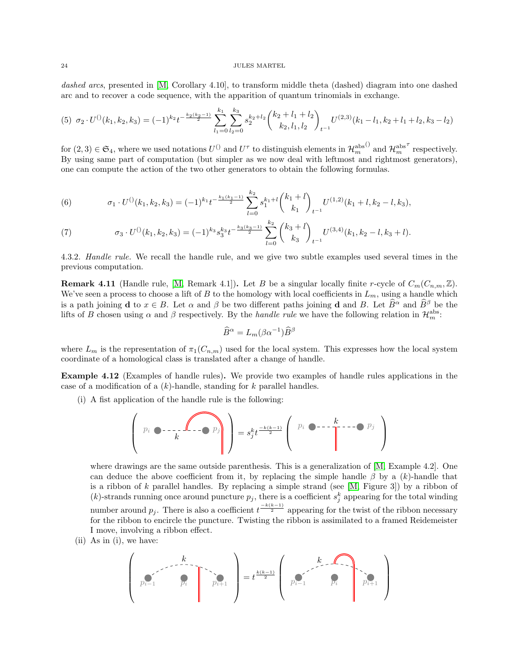dashed arcs, presented in [\[M,](#page-27-8) Corollary 4.10], to transform middle theta (dashed) diagram into one dashed arc and to recover a code sequence, with the apparition of quantum trinomials in exchange.

$$
(5) \sigma_2 \cdot U^{(1)}(k_1, k_2, k_3) = (-1)^{k_2} t^{-\frac{k_2(k_2-1)}{2}} \sum_{l_1=0}^{k_1} \sum_{l_2=0}^{k_3} s_2^{k_2+l_2} \binom{k_2+l_1+l_2}{k_2, l_1, l_2} \bigg|_{t^{-1}} U^{(2,3)}(k_1 - l_1, k_2 + l_1 + l_2, k_3 - l_2)
$$

for  $(2,3) \in \mathfrak{S}_4$ , where we used notations  $U^{()}$  and  $U^{\tau}$  to distinguish elements in  $\mathcal{H}_m^{\text{abs}}^{()}$  and  $\mathcal{H}_m^{\text{abs}}$  $\tau$  respectively. By using same part of computation (but simpler as we now deal with leftmost and rightmost generators), one can compute the action of the two other generators to obtain the following formulas.

(6) 
$$
\sigma_1 \cdot U^{(1)}(k_1, k_2, k_3) = (-1)^{k_1} t^{-\frac{k_1(k_1-1)}{2}} \sum_{l=0}^{k_2} s_1^{k_1+l} {k_1+l \choose k_1}_{t^{-1}} U^{(1,2)}(k_1+l, k_2-l, k_3),
$$

(7) 
$$
\sigma_3 \cdot U^{(1)}(k_1, k_2, k_3) = (-1)^{k_3} s_3^{k_3} t^{-\frac{k_3(k_3-1)}{2}} \sum_{l=0}^{k_2} {k_3 + l \choose k_3} U^{(3,4)}(k_1, k_2 - l, k_3 + l).
$$

4.3.2. Handle rule. We recall the handle rule, and we give two subtle examples used several times in the previous computation.

<span id="page-23-0"></span>**Remark 4.11** (Handle rule, [\[M,](#page-27-8) Remark 4.1]). Let B be a singular locally finite r-cycle of  $C_m(C_{n,m}, \mathbb{Z})$ . We've seen a process to choose a lift of B to the homology with local coefficients in  $L_m$ , using a handle which is a path joining **d** to  $x \in B$ . Let  $\alpha$  and  $\beta$  be two different paths joining **d** and B. Let  $\widehat{B}^{\alpha}$  and  $\widehat{B}^{\beta}$  be the lifts of B chosen using  $\alpha$  and  $\beta$  respectively. By the *handle rule* we have the following relation in  $\mathcal{H}_m^{\text{abs}}$ :

$$
\widehat{B}^{\alpha} = L_m(\beta \alpha^{-1}) \widehat{B}^{\beta}
$$

where  $L_m$  is the representation of  $\pi_1(C_{n,m})$  used for the local system. This expresses how the local system coordinate of a homological class is translated after a change of handle.

<span id="page-23-1"></span>Example 4.12 (Examples of handle rules). We provide two examples of handle rules applications in the case of a modification of a  $(k)$ -handle, standing for k parallel handles.

(i) A fist application of the handle rule is the following:

$$
\left(\begin{array}{ccc}p_i & \bullet & \cdots & \widehat{p_j} \\ & & & \\ & & & \\ & & & \end{array}\right) = s_j^k t^{\frac{-k(k-1)}{2}} \left(\begin{array}{ccc}p_i & \bullet & \cdots & k & \cdots & p_j \\ & & & & \\ & & & & \\ & & & & \\ & & & & \end{array}\right)
$$

where drawings are the same outside parenthesis. This is a generalization of [\[M,](#page-27-8) Example 4.2]. One can deduce the above coefficient from it, by replacing the simple handle  $\beta$  by a  $(k)$ -handle that is a ribbon of  $k$  parallel handles. By replacing a simple strand (see [\[M,](#page-27-8) Figure 3]) by a ribbon of (k)-strands running once around puncture  $p_j$ , there is a coefficient  $s_j^k$  appearing for the total winding number around  $p_j$ . There is also a coefficient  $t^{\frac{-k(k-1)}{2}}$  appearing for the twist of the ribbon necessary for the ribbon to encircle the puncture. Twisting the ribbon is assimilated to a framed Reidemeister I move, involving a ribbon effect.

(ii) As in (i), we have:

$$
\left(p_{i-1} \qquad p_i \qquad p_{i+1} \qquad p_{i+1} \qquad p_{i+1} \qquad p_{i-1} \qquad p_i \qquad p_{i+1} \qquad p_{i+1} \qquad p_{i+1} \qquad p_{i+1} \qquad p_{i+1} \qquad p_{i+1} \qquad p_{i+1} \qquad p_{i+1} \qquad p_{i+1} \qquad p_{i+1} \qquad p_{i+1} \qquad p_{i+1} \qquad p_{i+1} \qquad p_{i+1} \qquad p_{i+1} \qquad p_{i+1} \qquad p_{i+1} \qquad p_{i+1} \qquad p_{i+1} \qquad p_{i+1} \qquad p_{i+1} \qquad p_{i+1} \qquad p_{i+1} \qquad p_{i+1} \qquad p_{i+1} \qquad p_{i+1} \qquad p_{i+1} \qquad p_{i+1} \qquad p_{i+1} \qquad p_{i+1} \qquad p_{i+1} \qquad p_{i+1} \qquad p_{i+1} \qquad p_{i+1} \qquad p_{i+1} \qquad p_{i+1} \qquad p_{i+1} \qquad p_{i+1} \qquad p_{i+1} \qquad p_{i+1} \qquad p_{i+1} \qquad p_{i+1} \qquad p_{i+1} \qquad p_{i+1} \qquad p_{i+1} \qquad p_{i+1} \qquad p_{i+1} \qquad p_{i+1} \qquad p_{i+1} \qquad p_{i+1} \qquad p_{i+1} \qquad p_{i+1} \qquad p_{i+1} \qquad p_{i+1} \qquad p_{i+1} \qquad p_{i+1} \qquad p_{i+1} \qquad p_{i+1} \qquad p_{i+1} \qquad p_{i+1} \qquad p_{i+1} \qquad p_{i+1} \qquad p_{i+1} \qquad p_{i+1} \qquad p_{i+1} \qquad p_{i+1} \qquad p_{i+1} \qquad p_{i+1} \qquad p_{i+1} \qquad p_{i+1} \qquad p_{i+1} \qquad p_{i+1} \qquad p_{i+1} \qquad p_{i+1} \qquad p_{i+1} \qquad p_{i+1} \qquad p_{i+1} \qquad p_{i+1} \qquad p
$$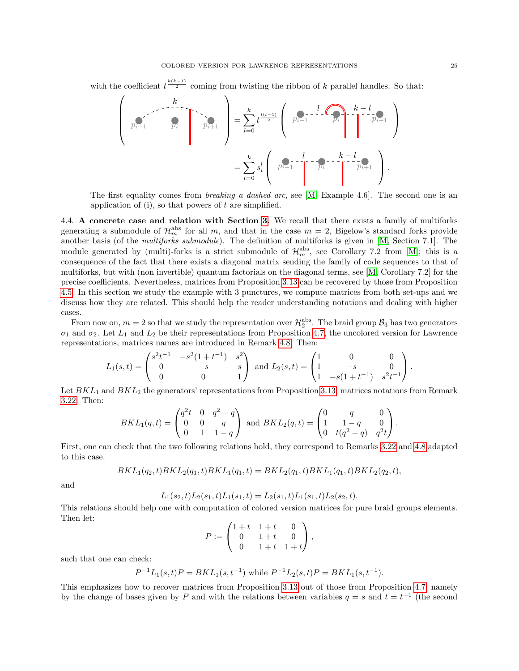with the coefficient  $t^{\frac{k(k-1)}{2}}$  coming from twisting the ribbon of k parallel handles. So that:

$$
\left(p_{i-1} - \frac{k}{p_i}\right)^{k} = \sum_{l=0}^{k} t^{\frac{l(l-1)}{2}} \left(p_{i-1} - \frac{l}{p_i}\right)^{k-l} \left[\begin{array}{c}k-l\\p_{i-1} - \frac{l}{p_i}+1\end{array}\right]
$$

$$
= \sum_{l=0}^{k} s_i^l \left(p_{i-1} - \frac{l}{p_i} - \frac{k-l}{p_i} - \frac{l}{p_{i+1}}\right).
$$

The first equality comes from *breaking a dashed arc*, see [\[M,](#page-27-8) Example 4.6]. The second one is an application of  $(i)$ , so that powers of t are simplified.

<span id="page-24-0"></span>4.4. A concrete case and relation with Section [3.](#page-9-0) We recall that there exists a family of multiforks generating a submodule of  $\mathcal{H}_m^{\text{abs}}$  for all m, and that in the case  $m = 2$ , Bigelow's standard forks provide another basis (of the *multiforks submodule*). The definition of multiforks is given in [\[M,](#page-27-8) Section 7.1]. The module generated by (multi)-forks is a strict submodule of  $\mathcal{H}_m^{\text{abs}}$ , see Corollary 7.2 from [\[M\]](#page-27-8); this is a consequence of the fact that there exists a diagonal matrix sending the family of code sequences to that of multiforks, but with (non invertible) quantum factorials on the diagonal terms, see [\[M,](#page-27-8) Corollary 7.2] for the precise coefficients. Nevertheless, matrices from Proposition [3.13](#page-12-2) can be recovered by those from Proposition [4.5.](#page-20-0) In this section we study the example with 3 punctures, we compute matrices from both set-ups and we discuss how they are related. This should help the reader understanding notations and dealing with higher cases.

From now on,  $m=2$  so that we study the representation over  $\mathcal{H}_2^{\text{abs}}$ . The braid group  $\mathcal{B}_3$  has two generators  $\sigma_1$  and  $\sigma_2$ . Let  $L_1$  and  $L_2$  be their representations from Proposition [4.7,](#page-21-0) the uncolored version for Lawrence representations, matrices names are introduced in Remark [4.8.](#page-21-1) Then:

$$
L_1(s,t) = \begin{pmatrix} s^2 t^{-1} & -s^2 (1+t^{-1}) & s^2 \\ 0 & -s & s \\ 0 & 0 & 1 \end{pmatrix} \text{ and } L_2(s,t) = \begin{pmatrix} 1 & 0 & 0 \\ 1 & -s & 0 \\ 1 & -s(1+t^{-1}) & s^2 t^{-1} \end{pmatrix}.
$$

Let  $BKL_1$  and  $BKL_2$  the generators' representations from Proposition [3.13,](#page-12-2) matrices notations from Remark [3.22.](#page-17-2) Then:

$$
BKL_1(q,t) = \begin{pmatrix} q^2t & 0 & q^2 - q \\ 0 & 0 & q \\ 0 & 1 & 1 - q \end{pmatrix} \text{ and } BKL_2(q,t) = \begin{pmatrix} 0 & q & 0 \\ 1 & 1 - q & 0 \\ 0 & t(q^2 - q) & q^2t \end{pmatrix}.
$$

First, one can check that the two following relations hold, they correspond to Remarks [3.22](#page-17-2) and [4.8](#page-21-1) adapted to this case.

$$
BKL_1(q_2, t)BKL_2(q_1, t)BKL_1(q_1, t) = BKL_2(q_1, t)BKL_1(q_1, t)BKL_2(q_2, t),
$$

and

$$
L_1(s_2, t)L_2(s_1, t)L_1(s_1, t) = L_2(s_1, t)L_1(s_1, t)L_2(s_2, t).
$$

This relations should help one with computation of colored version matrices for pure braid groups elements. Then let:

$$
P := \begin{pmatrix} 1+t & 1+t & 0 \\ 0 & 1+t & 0 \\ 0 & 1+t & 1+t \end{pmatrix},
$$

such that one can check:

$$
P^{-1}L_1(s,t)P = BKL_1(s, t^{-1})
$$
 while 
$$
P^{-1}L_2(s,t)P = BKL_1(s, t^{-1}).
$$

This emphasizes how to recover matrices from Proposition [3.13](#page-12-2) out of those from Proposition [4.7,](#page-21-0) namely by the change of bases given by P and with the relations between variables  $q = s$  and  $t = t^{-1}$  (the second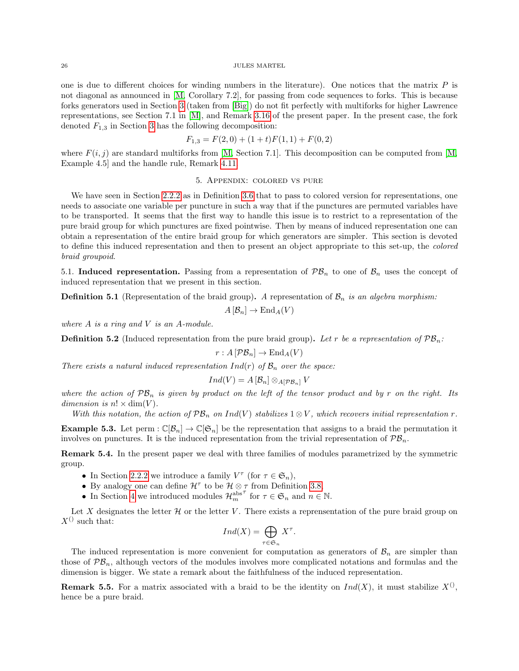one is due to different choices for winding numbers in the literature). One notices that the matrix  $P$  is not diagonal as announced in [\[M,](#page-27-8) Corollary 7.2], for passing from code sequences to forks. This is because forks generators used in Section [3](#page-9-0) (taken from [\[Big\]](#page-27-4)) do not fit perfectly with multiforks for higher Lawrence representations, see Section 7.1 in [\[M\]](#page-27-8), and Remark [3.16](#page-13-1) of the present paper. In the present case, the fork denoted  $F_{1,3}$  in Section [3](#page-9-0) has the following decomposition:

$$
F_{1,3} = F(2,0) + (1+t)F(1,1) + F(0,2)
$$

where  $F(i, j)$  are standard multiforks from [\[M,](#page-27-8) Section 7.1]. This decomposition can be computed from [M, Example 4.5] and the handle rule, Remark [4.11.](#page-23-0)

## 5. Appendix: colored vs pure

<span id="page-25-0"></span>We have seen in Section [2.2.2](#page-6-1) as in Definition [3.6](#page-10-0) that to pass to colored version for representations, one needs to associate one variable per puncture in such a way that if the punctures are permuted variables have to be transported. It seems that the first way to handle this issue is to restrict to a representation of the pure braid group for which punctures are fixed pointwise. Then by means of induced representation one can obtain a representation of the entire braid group for which generators are simpler. This section is devoted to define this induced representation and then to present an object appropriate to this set-up, the colored braid groupoid.

<span id="page-25-1"></span>5.1. Induced representation. Passing from a representation of  $\mathcal{B}_n$  to one of  $\mathcal{B}_n$  uses the concept of induced representation that we present in this section.

**Definition 5.1** (Representation of the braid group). A representation of  $\mathcal{B}_n$  is an algebra morphism:

$$
A[\mathcal{B}_n] \to \mathrm{End}_A(V)
$$

where  $A$  is a ring and  $V$  is an  $A$ -module.

<span id="page-25-2"></span>**Definition 5.2** (Induced representation from the pure braid group). Let r be a representation of  $\mathcal{PB}_n$ :

$$
r: A[\mathcal{PB}_n] \to \text{End}_A(V)
$$

There exists a natural induced representation  $Ind(r)$  of  $\mathcal{B}_n$  over the space:

$$
Ind(V) = A [\mathcal{B}_n] \otimes_{A[\mathcal{PB}_n]} V
$$

where the action of  $\mathcal{PB}_n$  is given by product on the left of the tensor product and by r on the right. Its dimension is  $n! \times \dim(V)$ .

With this notation, the action of  $\mathcal{PB}_n$  on Ind(V) stabilizes  $1 \otimes V$ , which recovers initial representation r.

**Example 5.3.** Let perm :  $\mathbb{C}[\mathcal{B}_n] \to \mathbb{C}[\mathfrak{S}_n]$  be the representation that assigns to a braid the permutation it involves on punctures. It is the induced representation from the trivial representation of  $\mathcal{PB}_n$ .

<span id="page-25-3"></span>Remark 5.4. In the present paper we deal with three families of modules parametrized by the symmetric group.

- In Section [2.2.2](#page-6-1) we introduce a family  $V^{\tau}$  (for  $\tau \in \mathfrak{S}_n$ ),
- By analogy one can define  $\mathcal{H}^{\tau}$  to be  $\mathcal{H} \otimes \tau$  from Definition [3.8,](#page-11-2)
- $\bullet\,$  In Section [4](#page-17-0) we introduced modules  $\mathcal{H}^\mathrm{abs}_m$  $\tau$  for  $\tau \in \mathfrak{S}_n$  and  $n \in \mathbb{N}$ .

Let X designates the letter  $\mathcal H$  or the letter V. There exists a reprensentation of the pure braid group on  $X^{()}$  such that:

$$
Ind(X) = \bigoplus_{\tau \in \mathfrak{S}_n} X^{\tau}.
$$

The induced representation is more convenient for computation as generators of  $\mathcal{B}_n$  are simpler than those of  $\mathcal{PB}_n$ , although vectors of the modules involves more complicated notations and formulas and the dimension is bigger. We state a remark about the faithfulness of the induced representation.

**Remark 5.5.** For a matrix associated with a braid to be the identity on  $Ind(X)$ , it must stabilize  $X^{()}$ , hence be a pure braid.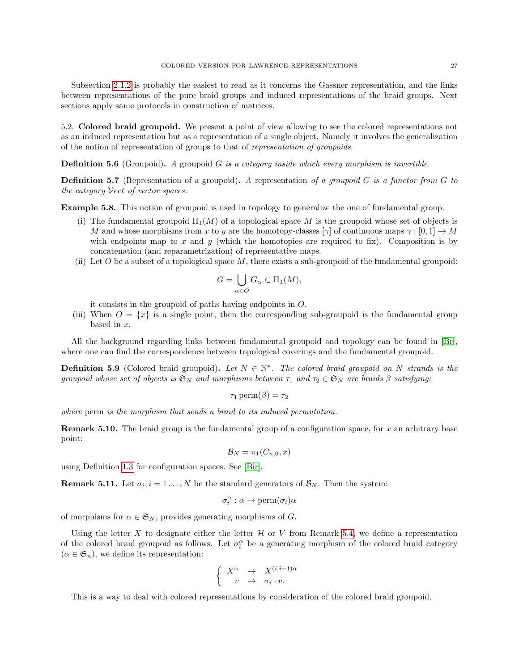Subsection [2.1.2](#page-3-1) is probably the easiest to read as it concerns the Gassner representation, and the links between representations of the pure braid groups and induced representations of the braid groups. Next sections apply same protocols in construction of matrices.

<span id="page-26-0"></span>5.2. Colored braid groupoid. We present a point of view allowing to see the colored representations not as an induced representation but as a representation of a single object. Namely it involves the generalization of the notion of representation of groups to that of representation of groupoids.

**Definition 5.6** (Groupoid). A groupoid G is a category inside which every morphism is invertible.

**Definition 5.7** (Representation of a groupoid). A representation of a groupoid G is a functor from G to the category Vect of vector spaces.

Example 5.8. This notion of groupoid is used in topology to generalize the one of fundamental group.

- (i) The fundamental groupoid  $\Pi_1(M)$  of a topological space M is the groupoid whose set of objects is M and whose morphisms from x to y are the homotopy-classes  $[\gamma]$  of continuous maps  $\gamma : [0,1] \to M$ with endpoints map to x and y (which the homotopies are required to fix). Composition is by concatenation (and reparametrization) of representative maps.
- (ii) Let  $O$  be a subset of a topological space  $M$ , there exists a sub-groupoid of the fundamental groupoid:

$$
G = \bigcup_{\alpha \in O} G_{\alpha} \subset \Pi_1(M),
$$

it consists in the groupoid of paths having endpoints in O.

(iii) When  $O = \{x\}$  is a single point, then the corresponding sub-groupoid is the fundamental group based in x.

All the background regarding links between fundamental groupoid and topology can be found in [\[Br\]](#page-27-22), where one can find the correspondence between topological coverings and the fundamental groupoid.

**Definition 5.9** (Colored braid groupoid). Let  $N \in \mathbb{N}^*$ . The colored braid groupoid on N strands is the groupoid whose set of objects is  $\mathfrak{S}_N$  and morphisms between  $\tau_1$  and  $\tau_2 \in \mathfrak{S}_N$  are braids  $\beta$  satisfying:

$$
\tau_1 \operatorname{perm}(\beta)=\tau_2
$$

where perm is the morphism that sends a braid to its induced permutation.

**Remark 5.10.** The braid group is the fundamental group of a configuration space, for x an arbitrary base point:

$$
\mathcal{B}_N = \pi_1(C_{n,0}, x)
$$

using Definition [1.3](#page-1-1) for configuration spaces. See [\[Bir\]](#page-27-1).

**Remark 5.11.** Let  $\sigma_i$ ,  $i = 1 \ldots, N$  be the standard generators of  $\mathcal{B}_N$ . Then the system:

$$
\sigma_i^\alpha:\alpha\to \mathrm{perm}(\sigma_i)\alpha
$$

of morphisms for  $\alpha \in \mathfrak{S}_N$ , provides generating morphisms of G.

Using the letter X to designate either the letter  $\mathcal H$  or V from Remark [5.4,](#page-25-3) we define a representation of the colored braid groupoid as follows. Let  $\sigma_i^{\alpha}$  be a generating morphism of the colored braid category  $(\alpha \in \mathfrak{S}_n)$ , we define its representation:

$$
\begin{cases}\nX^{\alpha} & \to \quad X^{(i,i+1)\alpha} \\
v & \mapsto \quad \sigma_i \cdot v.\n\end{cases}
$$

This is a way to deal with colored representations by consideration of the colored braid groupoid.